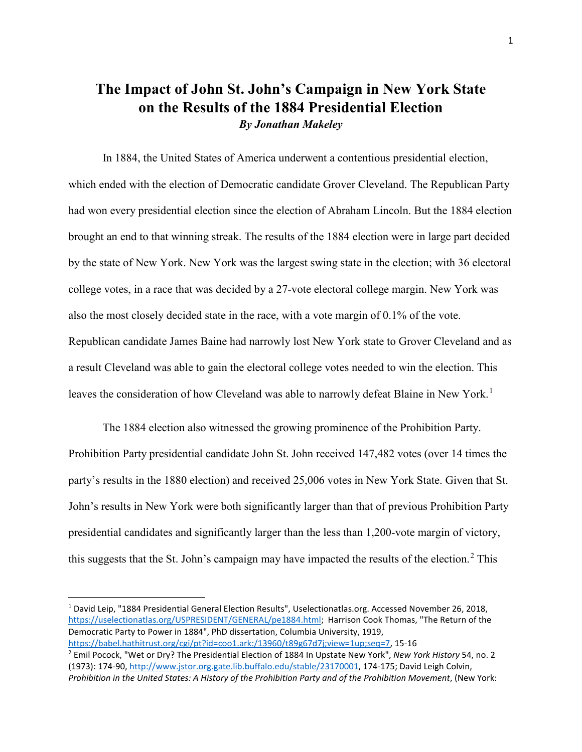## **The Impact of John St. John's Campaign in New York State on the Results of the 1884 Presidential Election** *By Jonathan Makeley*

In 1884, the United States of America underwent a contentious presidential election, which ended with the election of Democratic candidate Grover Cleveland. The Republican Party had won every presidential election since the election of Abraham Lincoln. But the 1884 election brought an end to that winning streak. The results of the 1884 election were in large part decided by the state of New York. New York was the largest swing state in the election; with 36 electoral college votes, in a race that was decided by a 27-vote electoral college margin. New York was also the most closely decided state in the race, with a vote margin of 0.1% of the vote. Republican candidate James Baine had narrowly lost New York state to Grover Cleveland and as a result Cleveland was able to gain the electoral college votes needed to win the election. This leaves the consideration of how Cleveland was able to narrowly defeat Blaine in New York.<sup>[1](#page-0-0)</sup>

The 1884 election also witnessed the growing prominence of the Prohibition Party. Prohibition Party presidential candidate John St. John received 147,482 votes (over 14 times the party's results in the 1880 election) and received 25,006 votes in New York State. Given that St. John's results in New York were both significantly larger than that of previous Prohibition Party presidential candidates and significantly larger than the less than 1,200-vote margin of victory, this suggests that the St. John's campaign may have impacted the results of the election.<sup>[2](#page-0-1)</sup> This

<span id="page-0-0"></span> <sup>1</sup> David Leip, "1884 Presidential General Election Results", Uselectionatlas.org. Accessed November 26, 2018, [https://uselectionatlas.org/USPRESIDENT/GENERAL/pe1884.html;](https://uselectionatlas.org/USPRESIDENT/GENERAL/pe1884.html) Harrison Cook Thomas, "The Return of the Democratic Party to Power in 1884", PhD dissertation, Columbia University, 1919,

<span id="page-0-1"></span>[https://babel.hathitrust.org/cgi/pt?id=coo1.ark:/13960/t89g67d7j;view=1up;seq=7,](https://babel.hathitrust.org/cgi/pt?id=coo1.ark:/13960/t89g67d7j;view=1up;seq=7) 15-16<br><sup>2</sup> Emil Pocock, "Wet or Dry? The Presidential Election of 1884 In Upstate New York", *New York History* 54, no. 2 (1973): 174-90[, http://www.jstor.org.gate.lib.buffalo.edu/stable/23170001,](http://www.jstor.org.gate.lib.buffalo.edu/stable/23170001) 174-175; David Leigh Colvin, *Prohibition in the United States: A History of the Prohibition Party and of the Prohibition Movement*, (New York: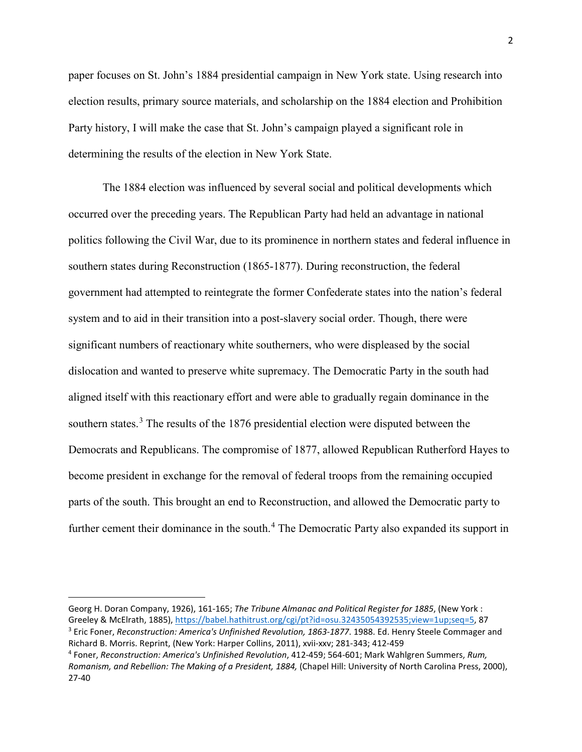paper focuses on St. John's 1884 presidential campaign in New York state. Using research into election results, primary source materials, and scholarship on the 1884 election and Prohibition Party history, I will make the case that St. John's campaign played a significant role in determining the results of the election in New York State.

The 1884 election was influenced by several social and political developments which occurred over the preceding years. The Republican Party had held an advantage in national politics following the Civil War, due to its prominence in northern states and federal influence in southern states during Reconstruction (1865-1877). During reconstruction, the federal government had attempted to reintegrate the former Confederate states into the nation's federal system and to aid in their transition into a post-slavery social order. Though, there were significant numbers of reactionary white southerners, who were displeased by the social dislocation and wanted to preserve white supremacy. The Democratic Party in the south had aligned itself with this reactionary effort and were able to gradually regain dominance in the southern states.<sup>[3](#page-1-0)</sup> The results of the 1876 presidential election were disputed between the Democrats and Republicans. The compromise of 1877, allowed Republican Rutherford Hayes to become president in exchange for the removal of federal troops from the remaining occupied parts of the south. This brought an end to Reconstruction, and allowed the Democratic party to further cement their dominance in the south.<sup>[4](#page-1-1)</sup> The Democratic Party also expanded its support in

l

Georg H. Doran Company, 1926), 161-165; *The Tribune Almanac and Political Register for 1885*, (New York : Greeley & McElrath, 1885), [https://babel.hathitrust.org/cgi/pt?id=osu.32435054392535;view=1up;seq=5,](https://babel.hathitrust.org/cgi/pt?id=osu.32435054392535;view=1up;seq=5) 87 <sup>3</sup> Eric Foner, *Reconstruction: America's Unfinished Revolution, 1863-1877*. 1988. Ed. Henry Steele Commager and

<span id="page-1-1"></span><span id="page-1-0"></span>Richard B. Morris. Reprint, (New York: Harper Collins, 2011), xvii-xxv; 281-343; 412-459 4 Foner, *Reconstruction: America's Unfinished Revolution*, 412-459; 564-601; Mark Wahlgren Summers, *Rum, Romanism, and Rebellion: The Making of a President, 1884,* (Chapel Hill: University of North Carolina Press, 2000), 27-40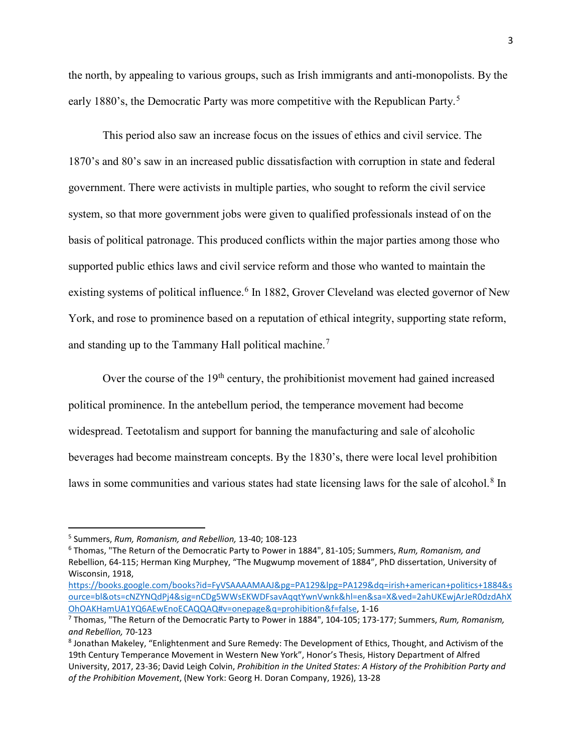the north, by appealing to various groups, such as Irish immigrants and anti-monopolists. By the early 1880's, the Democratic Party was more competitive with the Republican Party.<sup>[5](#page-2-0)</sup>

This period also saw an increase focus on the issues of ethics and civil service. The 1870's and 80's saw in an increased public dissatisfaction with corruption in state and federal government. There were activists in multiple parties, who sought to reform the civil service system, so that more government jobs were given to qualified professionals instead of on the basis of political patronage. This produced conflicts within the major parties among those who supported public ethics laws and civil service reform and those who wanted to maintain the existing systems of political influence.<sup>[6](#page-2-1)</sup> In 1882, Grover Cleveland was elected governor of New York, and rose to prominence based on a reputation of ethical integrity, supporting state reform, and standing up to the Tammany Hall political machine.<sup>[7](#page-2-2)</sup>

Over the course of the  $19<sup>th</sup>$  century, the prohibitionist movement had gained increased political prominence. In the antebellum period, the temperance movement had become widespread. Teetotalism and support for banning the manufacturing and sale of alcoholic beverages had become mainstream concepts. By the 1830's, there were local level prohibition laws in some communities and various states had state licensing laws for the sale of alcohol.<sup>[8](#page-2-3)</sup> In

<span id="page-2-0"></span> <sup>5</sup> Summers, *Rum, Romanism, and Rebellion,* 13-40; 108-123

<span id="page-2-1"></span><sup>6</sup> Thomas, "The Return of the Democratic Party to Power in 1884", 81-105; Summers, *Rum, Romanism, and*  Rebellion, 64-115; Herman King Murphey, "The Mugwump movement of 1884", PhD dissertation, University of Wisconsin, 1918,

[https://books.google.com/books?id=FyVSAAAAMAAJ&pg=PA129&lpg=PA129&dq=irish+american+politics+1884&s](https://books.google.com/books?id=FyVSAAAAMAAJ&pg=PA129&lpg=PA129&dq=irish+american+politics+1884&source=bl&ots=cNZYNQdPj4&sig=nCDg5WWsEKWDFsavAqqtYwnVwnk&hl=en&sa=X&ved=2ahUKEwjArJeR0dzdAhXOhOAKHamUA1YQ6AEwEnoECAQQAQ#v=onepage&q=prohibition&f=false) [ource=bl&ots=cNZYNQdPj4&sig=nCDg5WWsEKWDFsavAqqtYwnVwnk&hl=en&sa=X&ved=2ahUKEwjArJeR0dzdAhX](https://books.google.com/books?id=FyVSAAAAMAAJ&pg=PA129&lpg=PA129&dq=irish+american+politics+1884&source=bl&ots=cNZYNQdPj4&sig=nCDg5WWsEKWDFsavAqqtYwnVwnk&hl=en&sa=X&ved=2ahUKEwjArJeR0dzdAhXOhOAKHamUA1YQ6AEwEnoECAQQAQ#v=onepage&q=prohibition&f=false) [OhOAKHamUA1YQ6AEwEnoECAQQAQ#v=onepage&q=prohibition&f=false,](https://books.google.com/books?id=FyVSAAAAMAAJ&pg=PA129&lpg=PA129&dq=irish+american+politics+1884&source=bl&ots=cNZYNQdPj4&sig=nCDg5WWsEKWDFsavAqqtYwnVwnk&hl=en&sa=X&ved=2ahUKEwjArJeR0dzdAhXOhOAKHamUA1YQ6AEwEnoECAQQAQ#v=onepage&q=prohibition&f=false) 1-16

<span id="page-2-2"></span><sup>7</sup> Thomas, "The Return of the Democratic Party to Power in 1884", 104-105; 173-177; Summers, *Rum, Romanism,*  and Rebellion, 70-123<br><sup>8</sup> Jonathan Makeley, "Enlightenment and Sure Remedy: The Development of Ethics, Thought, and Activism of the

<span id="page-2-3"></span><sup>19</sup>th Century Temperance Movement in Western New York", Honor's Thesis, History Department of Alfred University, 2017, 23-36; David Leigh Colvin, *Prohibition in the United States: A History of the Prohibition Party and of the Prohibition Movement*, (New York: Georg H. Doran Company, 1926), 13-28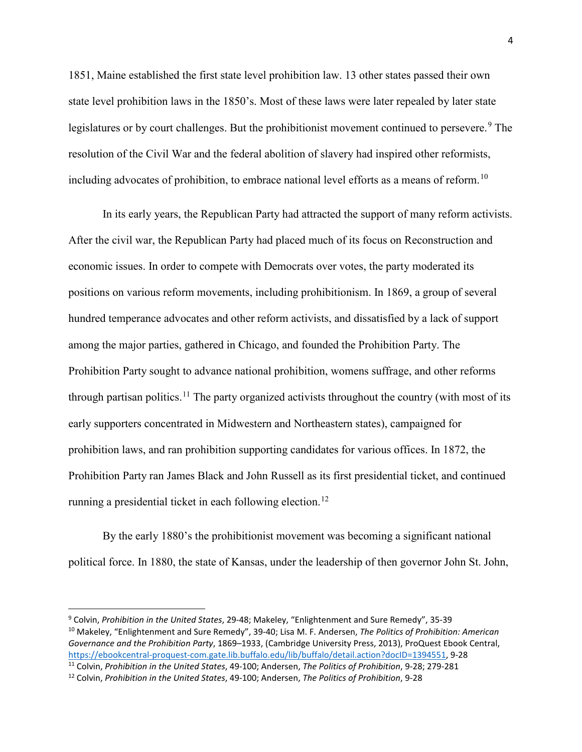1851, Maine established the first state level prohibition law. 13 other states passed their own state level prohibition laws in the 1850's. Most of these laws were later repealed by later state legislatures or by court challenges. But the prohibitionist movement continued to persevere.<sup>[9](#page-3-0)</sup> The resolution of the Civil War and the federal abolition of slavery had inspired other reformists, including advocates of prohibition, to embrace national level efforts as a means of reform.<sup>[10](#page-3-1)</sup>

In its early years, the Republican Party had attracted the support of many reform activists. After the civil war, the Republican Party had placed much of its focus on Reconstruction and economic issues. In order to compete with Democrats over votes, the party moderated its positions on various reform movements, including prohibitionism. In 1869, a group of several hundred temperance advocates and other reform activists, and dissatisfied by a lack of support among the major parties, gathered in Chicago, and founded the Prohibition Party. The Prohibition Party sought to advance national prohibition, womens suffrage, and other reforms through partisan politics.<sup>[11](#page-3-2)</sup> The party organized activists throughout the country (with most of its early supporters concentrated in Midwestern and Northeastern states), campaigned for prohibition laws, and ran prohibition supporting candidates for various offices. In 1872, the Prohibition Party ran James Black and John Russell as its first presidential ticket, and continued running a presidential ticket in each following election.<sup>[12](#page-3-3)</sup>

By the early 1880's the prohibitionist movement was becoming a significant national political force. In 1880, the state of Kansas, under the leadership of then governor John St. John,

<span id="page-3-1"></span><span id="page-3-0"></span> <sup>9</sup> Colvin, *Prohibition in the United States*, 29-48; Makeley, "Enlightenment and Sure Remedy", 35-39 <sup>10</sup> Makeley, "Enlightenment and Sure Remedy", 39-40; Lisa M. F. Andersen, *The Politics of Prohibition: American Governance and the Prohibition Party*, 1869–1933, (Cambridge University Press, 2013), ProQuest Ebook Central, [https://ebookcentral-proquest-com.gate.lib.buffalo.edu/lib/buffalo/detail.action?docID=1394551,](https://ebookcentral-proquest-com.gate.lib.buffalo.edu/lib/buffalo/detail.action?docID=1394551) 9-28 11 Colvin, *Prohibition in the United States*, 49-100; Andersen, *The Politics of Prohibition*, 9-28; 279-281

<span id="page-3-3"></span><span id="page-3-2"></span><sup>12</sup> Colvin, *Prohibition in the United States*, 49-100; Andersen, *The Politics of Prohibition*, 9-28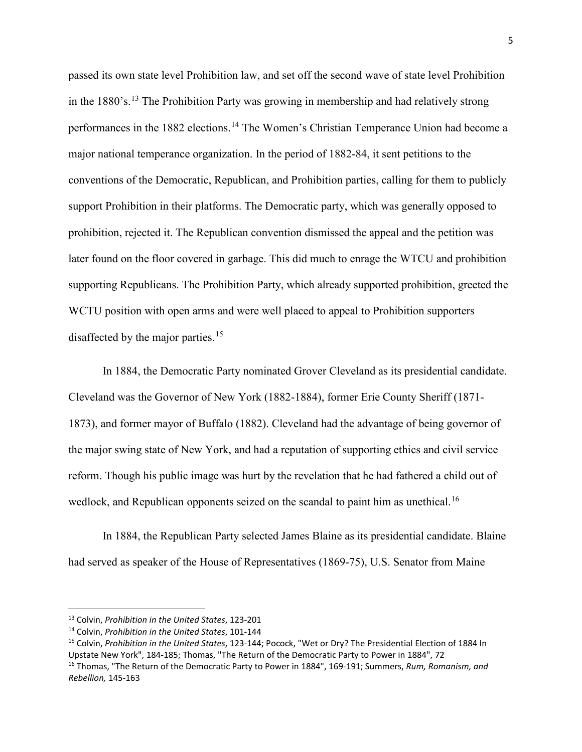passed its own state level Prohibition law, and set off the second wave of state level Prohibition in the  $1880's$ .<sup>[13](#page-4-0)</sup> The Prohibition Party was growing in membership and had relatively strong performances in the 1882 elections.<sup>[14](#page-4-1)</sup> The Women's Christian Temperance Union had become a major national temperance organization. In the period of 1882-84, it sent petitions to the conventions of the Democratic, Republican, and Prohibition parties, calling for them to publicly support Prohibition in their platforms. The Democratic party, which was generally opposed to prohibition, rejected it. The Republican convention dismissed the appeal and the petition was later found on the floor covered in garbage. This did much to enrage the WTCU and prohibition supporting Republicans. The Prohibition Party, which already supported prohibition, greeted the WCTU position with open arms and were well placed to appeal to Prohibition supporters disaffected by the major parties.<sup>[15](#page-4-2)</sup>

In 1884, the Democratic Party nominated Grover Cleveland as its presidential candidate. Cleveland was the Governor of New York (1882-1884), former Erie County Sheriff (1871- 1873), and former mayor of Buffalo (1882). Cleveland had the advantage of being governor of the major swing state of New York, and had a reputation of supporting ethics and civil service reform. Though his public image was hurt by the revelation that he had fathered a child out of wedlock, and Republican opponents seized on the scandal to paint him as unethical.<sup>[16](#page-4-3)</sup>

In 1884, the Republican Party selected James Blaine as its presidential candidate. Blaine had served as speaker of the House of Representatives (1869-75), U.S. Senator from Maine

<span id="page-4-0"></span> <sup>13</sup> Colvin, *Prohibition in the United States*, 123-201

<span id="page-4-2"></span><span id="page-4-1"></span><sup>&</sup>lt;sup>14</sup> Colvin, *Prohibition in the United States*, 101-144<br><sup>15</sup> Colvin, *Prohibition in the United States*, 123-144; Pocock, "Wet or Dry? The Presidential Election of 1884 In Upstate New York", 184-185; Thomas, "The Return of the Democratic Party to Power in 1884", 72

<span id="page-4-3"></span><sup>16</sup> Thomas, "The Return of the Democratic Party to Power in 1884", 169-191; Summers, *Rum, Romanism, and Rebellion,* 145-163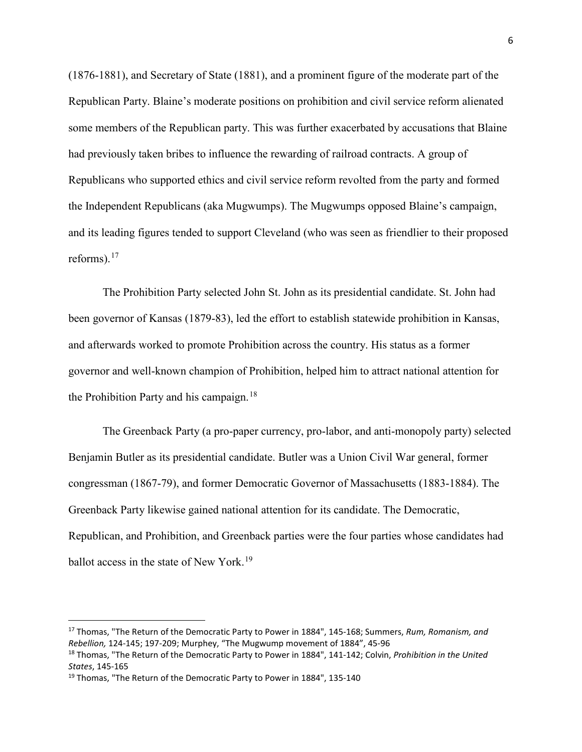(1876-1881), and Secretary of State (1881), and a prominent figure of the moderate part of the Republican Party. Blaine's moderate positions on prohibition and civil service reform alienated some members of the Republican party. This was further exacerbated by accusations that Blaine had previously taken bribes to influence the rewarding of railroad contracts. A group of Republicans who supported ethics and civil service reform revolted from the party and formed the Independent Republicans (aka Mugwumps). The Mugwumps opposed Blaine's campaign, and its leading figures tended to support Cleveland (who was seen as friendlier to their proposed reforms). [17](#page-5-0)

The Prohibition Party selected John St. John as its presidential candidate. St. John had been governor of Kansas (1879-83), led the effort to establish statewide prohibition in Kansas, and afterwards worked to promote Prohibition across the country. His status as a former governor and well-known champion of Prohibition, helped him to attract national attention for the Prohibition Party and his campaign.<sup>[18](#page-5-1)</sup>

The Greenback Party (a pro-paper currency, pro-labor, and anti-monopoly party) selected Benjamin Butler as its presidential candidate. Butler was a Union Civil War general, former congressman (1867-79), and former Democratic Governor of Massachusetts (1883-1884). The Greenback Party likewise gained national attention for its candidate. The Democratic, Republican, and Prohibition, and Greenback parties were the four parties whose candidates had ballot access in the state of New York.<sup>[19](#page-5-2)</sup>

<span id="page-5-0"></span> <sup>17</sup> Thomas, "The Return of the Democratic Party to Power in 1884", 145-168; Summers, *Rum, Romanism, and Rebellion,* 124-145; 197-209; Murphey, "The Mugwump movement of 1884", 45-96

<span id="page-5-1"></span><sup>18</sup> Thomas, "The Return of the Democratic Party to Power in 1884", 141-142; Colvin, *Prohibition in the United States*, 145-165

<span id="page-5-2"></span><sup>&</sup>lt;sup>19</sup> Thomas, "The Return of the Democratic Party to Power in 1884", 135-140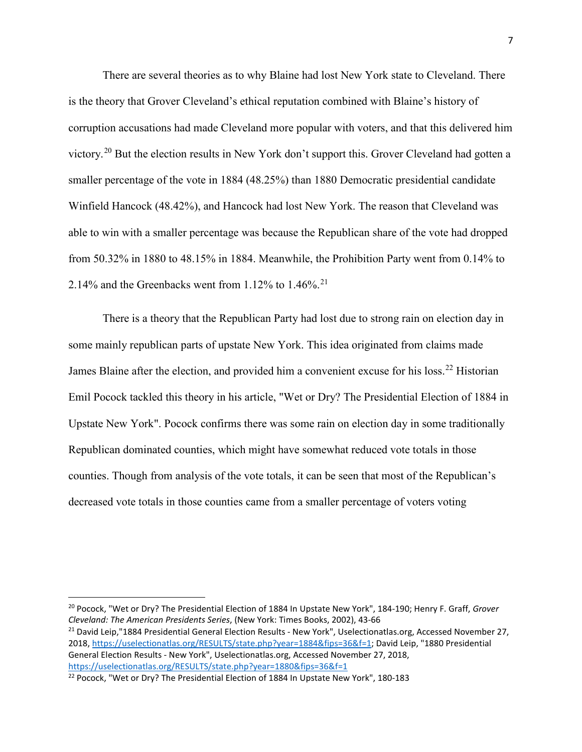There are several theories as to why Blaine had lost New York state to Cleveland. There is the theory that Grover Cleveland's ethical reputation combined with Blaine's history of corruption accusations had made Cleveland more popular with voters, and that this delivered him victory.[20](#page-6-0) But the election results in New York don't support this. Grover Cleveland had gotten a smaller percentage of the vote in 1884 (48.25%) than 1880 Democratic presidential candidate Winfield Hancock (48.42%), and Hancock had lost New York. The reason that Cleveland was able to win with a smaller percentage was because the Republican share of the vote had dropped from 50.32% in 1880 to 48.15% in 1884. Meanwhile, the Prohibition Party went from 0.14% to 2.14% and the Greenbacks went from 1.12% to 1.46%.<sup>[21](#page-6-1)</sup>

There is a theory that the Republican Party had lost due to strong rain on election day in some mainly republican parts of upstate New York. This idea originated from claims made James Blaine after the election, and provided him a convenient excuse for his loss.<sup>[22](#page-6-2)</sup> Historian Emil Pocock tackled this theory in his article, "Wet or Dry? The Presidential Election of 1884 in Upstate New York". Pocock confirms there was some rain on election day in some traditionally Republican dominated counties, which might have somewhat reduced vote totals in those counties. Though from analysis of the vote totals, it can be seen that most of the Republican's decreased vote totals in those counties came from a smaller percentage of voters voting

<span id="page-6-0"></span> <sup>20</sup> Pocock, "Wet or Dry? The Presidential Election of 1884 In Upstate New York", 184-190; Henry F. Graff, *Grover Cleveland: The American Presidents Series*, (New York: Times Books, 2002), 43-66

<span id="page-6-1"></span><sup>&</sup>lt;sup>21</sup> David Leip,"1884 Presidential General Election Results - New York", Uselectionatlas.org, Accessed November 27, 2018, [https://uselectionatlas.org/RESULTS/state.php?year=1884&fips=36&f=1;](https://uselectionatlas.org/RESULTS/state.php?year=1884&fips=36&f=1) David Leip, "1880 Presidential General Election Results - New York", Uselectionatlas.org, Accessed November 27, 2018, <https://uselectionatlas.org/RESULTS/state.php?year=1880&fips=36&f=1>

<span id="page-6-2"></span><sup>&</sup>lt;sup>22</sup> Pocock, "Wet or Dry? The Presidential Election of 1884 In Upstate New York", 180-183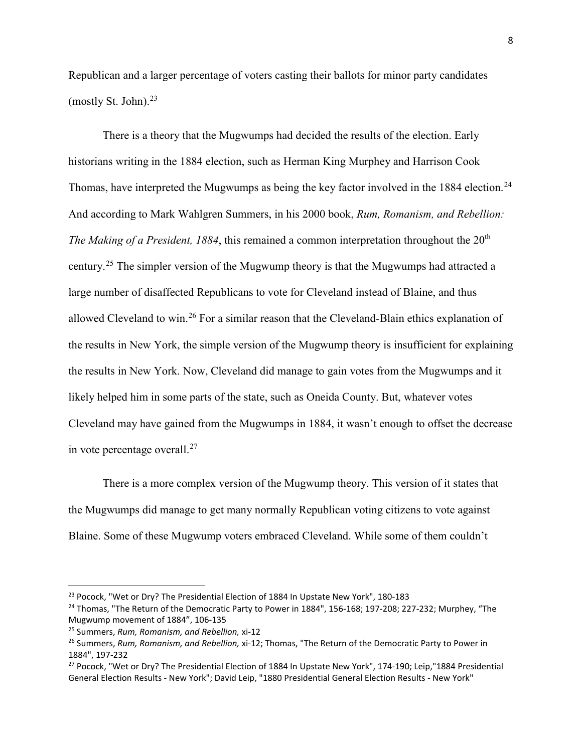Republican and a larger percentage of voters casting their ballots for minor party candidates (mostly St. John). [23](#page-7-0)

There is a theory that the Mugwumps had decided the results of the election. Early historians writing in the 1884 election, such as Herman King Murphey and Harrison Cook Thomas, have interpreted the Mugwumps as being the key factor involved in the 1884 election.<sup>[24](#page-7-1)</sup> And according to Mark Wahlgren Summers, in his 2000 book, *Rum, Romanism, and Rebellion: The Making of a President, 1884*, this remained a common interpretation throughout the 20<sup>th</sup> century.[25](#page-7-2) The simpler version of the Mugwump theory is that the Mugwumps had attracted a large number of disaffected Republicans to vote for Cleveland instead of Blaine, and thus allowed Cleveland to win.<sup>[26](#page-7-3)</sup> For a similar reason that the Cleveland-Blain ethics explanation of the results in New York, the simple version of the Mugwump theory is insufficient for explaining the results in New York. Now, Cleveland did manage to gain votes from the Mugwumps and it likely helped him in some parts of the state, such as Oneida County. But, whatever votes Cleveland may have gained from the Mugwumps in 1884, it wasn't enough to offset the decrease in vote percentage overall. $27$ 

There is a more complex version of the Mugwump theory. This version of it states that the Mugwumps did manage to get many normally Republican voting citizens to vote against Blaine. Some of these Mugwump voters embraced Cleveland. While some of them couldn't

<span id="page-7-0"></span><sup>&</sup>lt;sup>23</sup> Pocock, "Wet or Dry? The Presidential Election of 1884 In Upstate New York", 180-183

<span id="page-7-1"></span><sup>&</sup>lt;sup>24</sup> Thomas, "The Return of the Democratic Party to Power in 1884", 156-168; 197-208; 227-232; Murphey, "The Mugwump movement of 1884", 106-135

<span id="page-7-2"></span><sup>25</sup> Summers, *Rum, Romanism, and Rebellion,* xi-12

<span id="page-7-3"></span><sup>26</sup> Summers, *Rum, Romanism, and Rebellion,* xi-12; Thomas, "The Return of the Democratic Party to Power in 1884", 197-232

<span id="page-7-4"></span><sup>&</sup>lt;sup>27</sup> Pocock, "Wet or Dry? The Presidential Election of 1884 In Upstate New York", 174-190; Leip, "1884 Presidential General Election Results - New York"; David Leip, "1880 Presidential General Election Results - New York"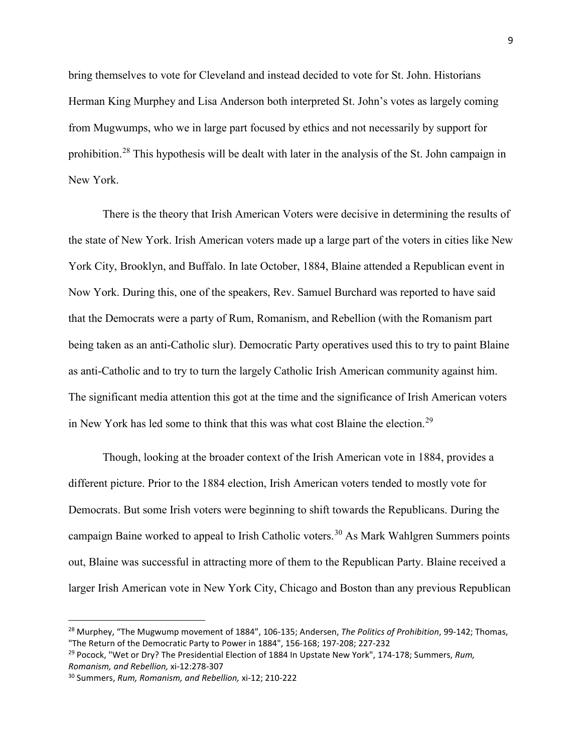bring themselves to vote for Cleveland and instead decided to vote for St. John. Historians Herman King Murphey and Lisa Anderson both interpreted St. John's votes as largely coming from Mugwumps, who we in large part focused by ethics and not necessarily by support for prohibition.[28](#page-8-0) This hypothesis will be dealt with later in the analysis of the St. John campaign in New York.

There is the theory that Irish American Voters were decisive in determining the results of the state of New York. Irish American voters made up a large part of the voters in cities like New York City, Brooklyn, and Buffalo. In late October, 1884, Blaine attended a Republican event in Now York. During this, one of the speakers, Rev. Samuel Burchard was reported to have said that the Democrats were a party of Rum, Romanism, and Rebellion (with the Romanism part being taken as an anti-Catholic slur). Democratic Party operatives used this to try to paint Blaine as anti-Catholic and to try to turn the largely Catholic Irish American community against him. The significant media attention this got at the time and the significance of Irish American voters in New York has led some to think that this was what cost Blaine the election.<sup>[29](#page-8-1)</sup>

Though, looking at the broader context of the Irish American vote in 1884, provides a different picture. Prior to the 1884 election, Irish American voters tended to mostly vote for Democrats. But some Irish voters were beginning to shift towards the Republicans. During the campaign Baine worked to appeal to Irish Catholic voters.<sup>[30](#page-8-2)</sup> As Mark Wahlgren Summers points out, Blaine was successful in attracting more of them to the Republican Party. Blaine received a larger Irish American vote in New York City, Chicago and Boston than any previous Republican

<span id="page-8-0"></span> <sup>28</sup> Murphey, "The Mugwump movement of 1884", 106-135; Andersen, *The Politics of Prohibition*, 99-142; Thomas, "The Return of the Democratic Party to Power in 1884", 156-168; 197-208; 227-232

<span id="page-8-1"></span><sup>29</sup> Pocock, "Wet or Dry? The Presidential Election of 1884 In Upstate New York", 174-178; Summers, *Rum, Romanism, and Rebellion,* xi-12:278-307

<span id="page-8-2"></span><sup>30</sup> Summers, *Rum, Romanism, and Rebellion,* xi-12; 210-222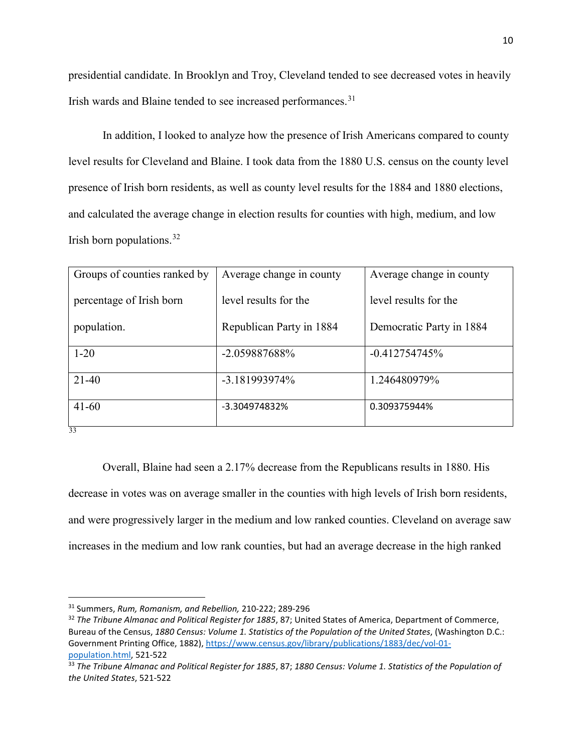presidential candidate. In Brooklyn and Troy, Cleveland tended to see decreased votes in heavily Irish wards and Blaine tended to see increased performances.<sup>[31](#page-9-0)</sup>

In addition, I looked to analyze how the presence of Irish Americans compared to county level results for Cleveland and Blaine. I took data from the 1880 U.S. census on the county level presence of Irish born residents, as well as county level results for the 1884 and 1880 elections, and calculated the average change in election results for counties with high, medium, and low Irish born populations.  $32$ 

| Groups of counties ranked by | Average change in county | Average change in county |
|------------------------------|--------------------------|--------------------------|
| percentage of Irish born     | level results for the    | level results for the    |
| population.                  | Republican Party in 1884 | Democratic Party in 1884 |
| $1 - 20$                     | -2.059887688%            | $-0.412754745%$          |
| $21-40$                      | $-3.181993974\%$         | 1.246480979%             |
| $41 - 60$                    | -3.304974832%            | 0.309375944%             |
| 33                           |                          |                          |

Overall, Blaine had seen a 2.17% decrease from the Republicans results in 1880. His decrease in votes was on average smaller in the counties with high levels of Irish born residents, and were progressively larger in the medium and low ranked counties. Cleveland on average saw increases in the medium and low rank counties, but had an average decrease in the high ranked

<span id="page-9-0"></span> <sup>31</sup> Summers, *Rum, Romanism, and Rebellion,* 210-222; 289-296

<span id="page-9-1"></span><sup>32</sup> *The Tribune Almanac and Political Register for 1885*, 87; United States of America, Department of Commerce, Bureau of the Census, *1880 Census: Volume 1. Statistics of the Population of the United States*, (Washington D.C.: Government Printing Office, 1882), [https://www.census.gov/library/publications/1883/dec/vol-01](https://www.census.gov/library/publications/1883/dec/vol-01-population.html) [population.html,](https://www.census.gov/library/publications/1883/dec/vol-01-population.html) 521-522

<span id="page-9-2"></span><sup>33</sup> *The Tribune Almanac and Political Register for 1885*, 87; *1880 Census: Volume 1. Statistics of the Population of the United States*, 521-522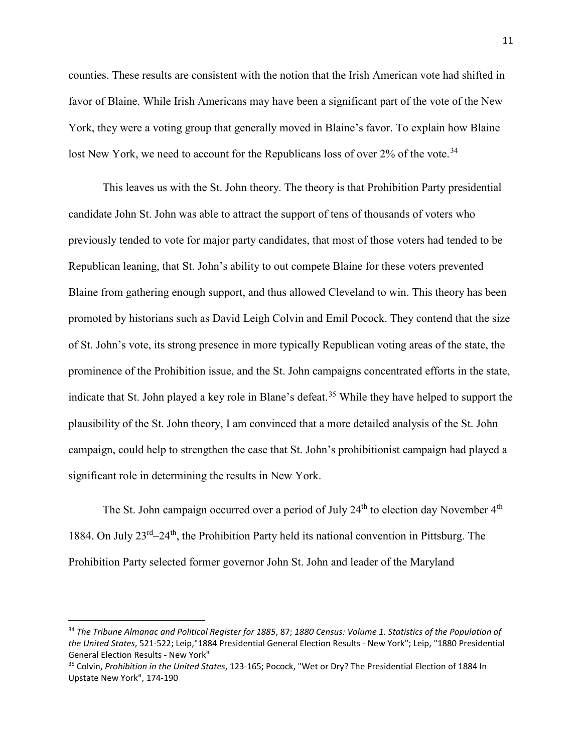counties. These results are consistent with the notion that the Irish American vote had shifted in favor of Blaine. While Irish Americans may have been a significant part of the vote of the New York, they were a voting group that generally moved in Blaine's favor. To explain how Blaine lost New York, we need to account for the Republicans loss of over 2% of the vote.<sup>[34](#page-10-0)</sup>

This leaves us with the St. John theory. The theory is that Prohibition Party presidential candidate John St. John was able to attract the support of tens of thousands of voters who previously tended to vote for major party candidates, that most of those voters had tended to be Republican leaning, that St. John's ability to out compete Blaine for these voters prevented Blaine from gathering enough support, and thus allowed Cleveland to win. This theory has been promoted by historians such as David Leigh Colvin and Emil Pocock. They contend that the size of St. John's vote, its strong presence in more typically Republican voting areas of the state, the prominence of the Prohibition issue, and the St. John campaigns concentrated efforts in the state, indicate that St. John played a key role in Blane's defeat.<sup>[35](#page-10-1)</sup> While they have helped to support the plausibility of the St. John theory, I am convinced that a more detailed analysis of the St. John campaign, could help to strengthen the case that St. John's prohibitionist campaign had played a significant role in determining the results in New York.

The St. John campaign occurred over a period of July  $24<sup>th</sup>$  to election day November  $4<sup>th</sup>$ 1884. On July  $23^{rd}-24^{th}$ , the Prohibition Party held its national convention in Pittsburg. The Prohibition Party selected former governor John St. John and leader of the Maryland

<span id="page-10-0"></span> <sup>34</sup> *The Tribune Almanac and Political Register for 1885*, 87; *1880 Census: Volume 1. Statistics of the Population of the United States*, 521-522; Leip,"1884 Presidential General Election Results - New York"; Leip, "1880 Presidential General Election Results - New York"

<span id="page-10-1"></span><sup>35</sup> Colvin, *Prohibition in the United States*, 123-165; Pocock, "Wet or Dry? The Presidential Election of 1884 In Upstate New York", 174-190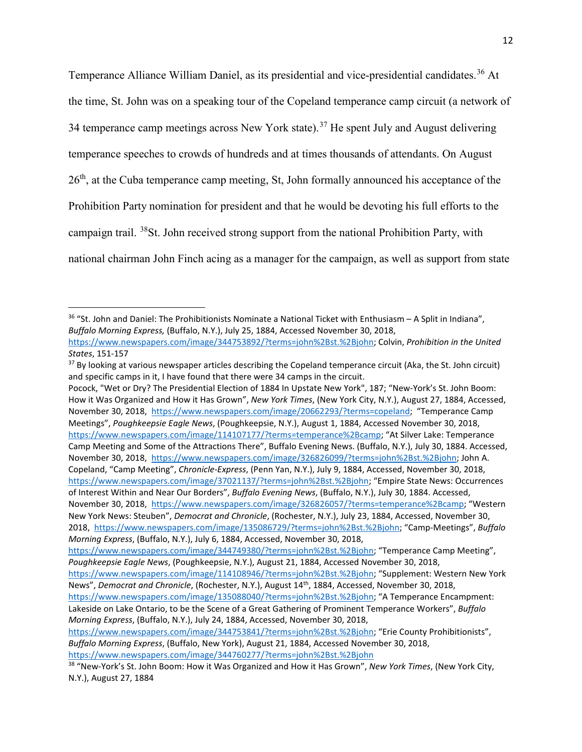Temperance Alliance William Daniel, as its presidential and vice-presidential candidates.<sup>[36](#page-11-0)</sup> At the time, St. John was on a speaking tour of the Copeland temperance camp circuit (a network of 34 temperance camp meetings across New York state).<sup>[37](#page-11-1)</sup> He spent July and August delivering temperance speeches to crowds of hundreds and at times thousands of attendants. On August  $26<sup>th</sup>$ , at the Cuba temperance camp meeting, St, John formally announced his acceptance of the Prohibition Party nomination for president and that he would be devoting his full efforts to the campaign trail. [38S](#page-11-2)t. John received strong support from the national Prohibition Party, with national chairman John Finch acing as a manager for the campaign, as well as support from state

Pocock, "Wet or Dry? The Presidential Election of 1884 In Upstate New York", 187; "New-York's St. John Boom: How it Was Organized and How it Has Grown", *New York Times*, (New York City, N.Y.), August 27, 1884, Accessed, November 30, 2018, [https://www.newspapers.com/image/20662293/?terms=copeland;](https://www.newspapers.com/image/20662293/?terms=copeland) "Temperance Camp Meetings", *Poughkeepsie Eagle News*, (Poughkeepsie, N.Y.), August 1, 1884, Accessed November 30, 2018, [https://www.newspapers.com/image/114107177/?terms=temperance%2Bcamp;](https://www.newspapers.com/image/114107177/?terms=temperance%2Bcamp) "At Silver Lake: Temperance Camp Meeting and Some of the Attractions There", Buffalo Evening News. (Buffalo, N.Y.), July 30, 1884. Accessed, November 30, 2018, [https://www.newspapers.com/image/326826099/?terms=john%2Bst.%2Bjohn;](https://www.newspapers.com/image/326826099/?terms=john%2Bst.%2Bjohn) John A. Copeland, "Camp Meeting", *Chronicle-Express*, (Penn Yan, N.Y.), July 9, 1884, Accessed, November 30, 2018, [https://www.newspapers.com/image/37021137/?terms=john%2Bst.%2Bjohn;](https://www.newspapers.com/image/37021137/?terms=john%2Bst.%2Bjohn) "Empire State News: Occurrences of Interest Within and Near Our Borders", *Buffalo Evening News*, (Buffalo, N.Y.), July 30, 1884. Accessed, November 30, 2018, [https://www.newspapers.com/image/326826057/?terms=temperance%2Bcamp;](https://www.newspapers.com/image/326826057/?terms=temperance%2Bcamp) "Western New York News: Steuben", *Democrat and Chronicle*, (Rochester, N.Y.), July 23, 1884, Accessed, November 30, 2018, [https://www.newspapers.com/image/135086729/?terms=john%2Bst.%2Bjohn;](https://www.newspapers.com/image/135086729/?terms=john%2Bst.%2Bjohn) "Camp-Meetings", *Buffalo Morning Express*, (Buffalo, N.Y.), July 6, 1884, Accessed, November 30, 2018,

<span id="page-11-0"></span> <sup>36</sup> "St. John and Daniel: The Prohibitionists Nominate a National Ticket with Enthusiasm – A Split in Indiana", *Buffalo Morning Express,* (Buffalo, N.Y.), July 25, 1884, Accessed November 30, 2018, [https://www.newspapers.com/image/344753892/?terms=john%2Bst.%2Bjohn;](https://www.newspapers.com/image/344753892/?terms=john%2Bst.%2Bjohn) Colvin, *Prohibition in the United* 

*States*, 151-157

<span id="page-11-1"></span><sup>&</sup>lt;sup>37</sup> By looking at various newspaper articles describing the Copeland temperance circuit (Aka, the St. John circuit) and specific camps in it, I have found that there were 34 camps in the circuit.

[https://www.newspapers.com/image/344749380/?terms=john%2Bst.%2Bjohn;](https://www.newspapers.com/image/344749380/?terms=john%2Bst.%2Bjohn) "Temperance Camp Meeting", *Poughkeepsie Eagle News*, (Poughkeepsie, N.Y.), August 21, 1884, Accessed November 30, 2018,

[https://www.newspapers.com/image/114108946/?terms=john%2Bst.%2Bjohn;](https://www.newspapers.com/image/114108946/?terms=john%2Bst.%2Bjohn) "Supplement: Western New York News", *Democrat and Chronicle*, (Rochester, N.Y.), August 14th, 1884, Accessed, November 30, 2018,

[https://www.newspapers.com/image/135088040/?terms=john%2Bst.%2Bjohn;](https://www.newspapers.com/image/135088040/?terms=john%2Bst.%2Bjohn) "A Temperance Encampment: Lakeside on Lake Ontario, to be the Scene of a Great Gathering of Prominent Temperance Workers", *Buffalo Morning Express*, (Buffalo, N.Y.), July 24, 1884, Accessed, November 30, 2018,

[https://www.newspapers.com/image/344753841/?terms=john%2Bst.%2Bjohn;](https://www.newspapers.com/image/344753841/?terms=john%2Bst.%2Bjohn) "Erie County Prohibitionists", *Buffalo Morning Express*, (Buffalo, New York), August 21, 1884, Accessed November 30, 2018, <https://www.newspapers.com/image/344760277/?terms=john%2Bst.%2Bjohn>

<span id="page-11-2"></span><sup>38</sup> "New-York's St. John Boom: How it Was Organized and How it Has Grown", *New York Times*, (New York City, N.Y.), August 27, 1884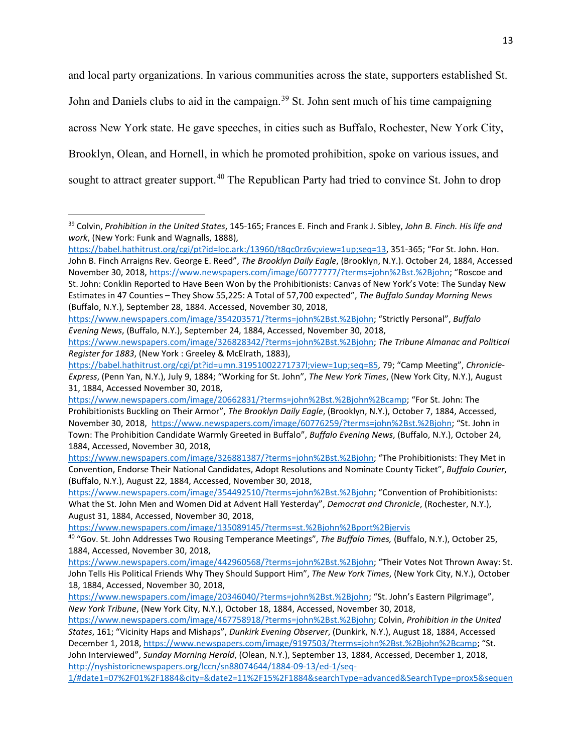and local party organizations. In various communities across the state, supporters established St. John and Daniels clubs to aid in the campaign.<sup>[39](#page-12-0)</sup> St. John sent much of his time campaigning across New York state. He gave speeches, in cities such as Buffalo, Rochester, New York City, Brooklyn, Olean, and Hornell, in which he promoted prohibition, spoke on various issues, and sought to attract greater support.<sup>[40](#page-12-1)</sup> The Republican Party had tried to convince St. John to drop

<https://www.newspapers.com/image/135089145/?terms=st.%2Bjohn%2Bport%2Bjervis>

<span id="page-12-0"></span> <sup>39</sup> Colvin, *Prohibition in the United States*, 145-165; Frances E. Finch and Frank J. Sibley, *John B. Finch. His life and work*, (New York: Funk and Wagnalls, 1888),

[https://babel.hathitrust.org/cgi/pt?id=loc.ark:/13960/t8qc0rz6v;view=1up;seq=13,](https://babel.hathitrust.org/cgi/pt?id=loc.ark:/13960/t8qc0rz6v;view=1up;seq=13) 351-365; "For St. John. Hon. John B. Finch Arraigns Rev. George E. Reed", *The Brooklyn Daily Eagle*, (Brooklyn, N.Y.). October 24, 1884, Accessed November 30, 2018, [https://www.newspapers.com/image/60777777/?terms=john%2Bst.%2Bjohn;](https://www.newspapers.com/image/60777777/?terms=john%2Bst.%2Bjohn) "Roscoe and St. John: Conklin Reported to Have Been Won by the Prohibitionists: Canvas of New York's Vote: The Sunday New Estimates in 47 Counties – They Show 55,225: A Total of 57,700 expected", *The Buffalo Sunday Morning News*  (Buffalo, N.Y.), September 28, 1884. Accessed, November 30, 2018,

[https://www.newspapers.com/image/354203571/?terms=john%2Bst.%2Bjohn;](https://www.newspapers.com/image/354203571/?terms=john%2Bst.%2Bjohn) "Strictly Personal", *Buffalo Evening News*, (Buffalo, N.Y.), September 24, 1884, Accessed, November 30, 2018,

[https://www.newspapers.com/image/326828342/?terms=john%2Bst.%2Bjohn;](https://www.newspapers.com/image/326828342/?terms=john%2Bst.%2Bjohn) *The Tribune Almanac and Political Register for 1883*, (New York : Greeley & McElrath, 1883),

[https://babel.hathitrust.org/cgi/pt?id=umn.31951002271737l;view=1up;seq=85,](https://babel.hathitrust.org/cgi/pt?id=umn.31951002271737l;view=1up;seq=85) 79; "Camp Meeting", *Chronicle-Express*, (Penn Yan, N.Y.), July 9, 1884; "Working for St. John", *The New York Times*, (New York City, N.Y.), August 31, 1884, Accessed November 30, 2018,

[https://www.newspapers.com/image/20662831/?terms=john%2Bst.%2Bjohn%2Bcamp;](https://www.newspapers.com/image/20662831/?terms=john%2Bst.%2Bjohn%2Bcamp) "For St. John: The Prohibitionists Buckling on Their Armor", *The Brooklyn Daily Eagle*, (Brooklyn, N.Y.), October 7, 1884, Accessed, November 30, 2018, [https://www.newspapers.com/image/60776259/?terms=john%2Bst.%2Bjohn;](https://www.newspapers.com/image/60776259/?terms=john%2Bst.%2Bjohn) "St. John in Town: The Prohibition Candidate Warmly Greeted in Buffalo", *Buffalo Evening News*, (Buffalo, N.Y.), October 24, 1884, Accessed, November 30, 2018,

[https://www.newspapers.com/image/326881387/?terms=john%2Bst.%2Bjohn;](https://www.newspapers.com/image/326881387/?terms=john%2Bst.%2Bjohn) "The Prohibitionists: They Met in Convention, Endorse Their National Candidates, Adopt Resolutions and Nominate County Ticket", *Buffalo Courier*, (Buffalo, N.Y.), August 22, 1884, Accessed, November 30, 2018,

[https://www.newspapers.com/image/354492510/?terms=john%2Bst.%2Bjohn;](https://www.newspapers.com/image/354492510/?terms=john%2Bst.%2Bjohn) "Convention of Prohibitionists: What the St. John Men and Women Did at Advent Hall Yesterday", *Democrat and Chronicle*, (Rochester, N.Y.), August 31, 1884, Accessed, November 30, 2018,

<span id="page-12-1"></span><sup>40</sup> "Gov. St. John Addresses Two Rousing Temperance Meetings", *The Buffalo Times,* (Buffalo, N.Y.), October 25, 1884, Accessed, November 30, 2018,

[https://www.newspapers.com/image/442960568/?terms=john%2Bst.%2Bjohn;](https://www.newspapers.com/image/442960568/?terms=john%2Bst.%2Bjohn) "Their Votes Not Thrown Away: St. John Tells His Political Friends Why They Should Support Him", *The New York Times*, (New York City, N.Y.), October 18, 1884, Accessed, November 30, 2018,

[https://www.newspapers.com/image/20346040/?terms=john%2Bst.%2Bjohn;](https://www.newspapers.com/image/20346040/?terms=john%2Bst.%2Bjohn) "St. John's Eastern Pilgrimage", *New York Tribune*, (New York City, N.Y.), October 18, 1884, Accessed, November 30, 2018,

[https://www.newspapers.com/image/467758918/?terms=john%2Bst.%2Bjohn;](https://www.newspapers.com/image/467758918/?terms=john%2Bst.%2Bjohn) Colvin, *Prohibition in the United States*, 161; "Vicinity Haps and Mishaps", *Dunkirk Evening Observer*, (Dunkirk, N.Y.), August 18, 1884, Accessed December 1, 2018, [https://www.newspapers.com/image/9197503/?terms=john%2Bst.%2Bjohn%2Bcamp;](https://www.newspapers.com/image/9197503/?terms=john%2Bst.%2Bjohn%2Bcamp) "St. John Interviewed", *Sunday Morning Herald*, (Olean, N.Y.), September 13, 1884, Accessed, December 1, 2018, [http://nyshistoricnewspapers.org/lccn/sn88074644/1884-09-13/ed-1/seq-](http://nyshistoricnewspapers.org/lccn/sn88074644/1884-09-13/ed-1/seq-1/#date1=07%2F01%2F1884&city=&date2=11%2F15%2F1884&searchType=advanced&SearchType=prox5&sequence=0&lccn=&index=11&words=John+St&proxdistance=5&county=Cattaraugus&to_year=1884&rows=20&ortext=&from_year=1884&proxtext=st.+john&phrasetext=&andtext=&dateFilterTyp)

[<sup>1/#</sup>date1=07%2F01%2F1884&city=&date2=11%2F15%2F1884&searchType=advanced&SearchType=prox5&sequen](http://nyshistoricnewspapers.org/lccn/sn88074644/1884-09-13/ed-1/seq-1/#date1=07%2F01%2F1884&city=&date2=11%2F15%2F1884&searchType=advanced&SearchType=prox5&sequence=0&lccn=&index=11&words=John+St&proxdistance=5&county=Cattaraugus&to_year=1884&rows=20&ortext=&from_year=1884&proxtext=st.+john&phrasetext=&andtext=&dateFilterTyp)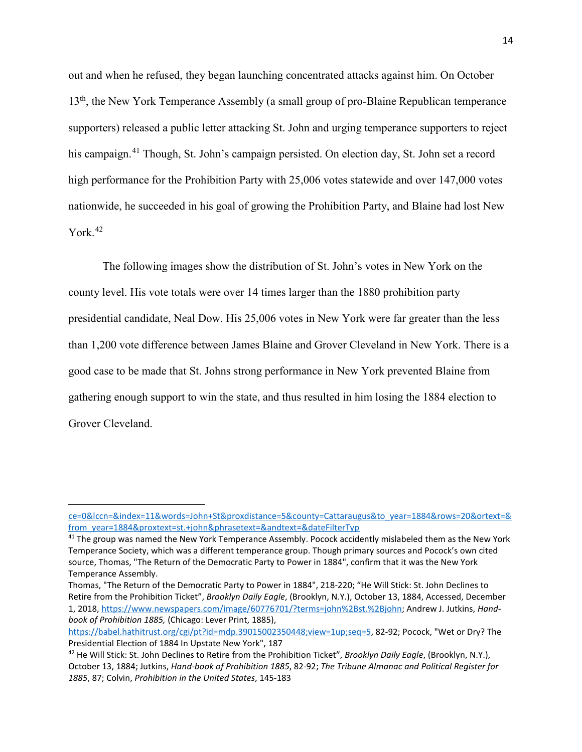out and when he refused, they began launching concentrated attacks against him. On October 13<sup>th</sup>, the New York Temperance Assembly (a small group of pro-Blaine Republican temperance supporters) released a public letter attacking St. John and urging temperance supporters to reject his campaign.<sup>[41](#page-13-0)</sup> Though, St. John's campaign persisted. On election day, St. John set a record high performance for the Prohibition Party with 25,006 votes statewide and over 147,000 votes nationwide, he succeeded in his goal of growing the Prohibition Party, and Blaine had lost New York.<sup>[42](#page-13-1)</sup>

The following images show the distribution of St. John's votes in New York on the county level. His vote totals were over 14 times larger than the 1880 prohibition party presidential candidate, Neal Dow. His 25,006 votes in New York were far greater than the less than 1,200 vote difference between James Blaine and Grover Cleveland in New York. There is a good case to be made that St. Johns strong performance in New York prevented Blaine from gathering enough support to win the state, and thus resulted in him losing the 1884 election to Grover Cleveland.

 $\overline{\phantom{a}}$ 

[ce=0&lccn=&index=11&words=John+St&proxdistance=5&county=Cattaraugus&to\\_year=1884&rows=20&ortext=&](http://nyshistoricnewspapers.org/lccn/sn88074644/1884-09-13/ed-1/seq-1/#date1=07%2F01%2F1884&city=&date2=11%2F15%2F1884&searchType=advanced&SearchType=prox5&sequence=0&lccn=&index=11&words=John+St&proxdistance=5&county=Cattaraugus&to_year=1884&rows=20&ortext=&from_year=1884&proxtext=st.+john&phrasetext=&andtext=&dateFilterTyp) [from\\_year=1884&proxtext=st.+john&phrasetext=&andtext=&dateFilterTyp](http://nyshistoricnewspapers.org/lccn/sn88074644/1884-09-13/ed-1/seq-1/#date1=07%2F01%2F1884&city=&date2=11%2F15%2F1884&searchType=advanced&SearchType=prox5&sequence=0&lccn=&index=11&words=John+St&proxdistance=5&county=Cattaraugus&to_year=1884&rows=20&ortext=&from_year=1884&proxtext=st.+john&phrasetext=&andtext=&dateFilterTyp)

<span id="page-13-0"></span><sup>&</sup>lt;sup>41</sup> The group was named the New York Temperance Assembly. Pocock accidently mislabeled them as the New York Temperance Society, which was a different temperance group. Though primary sources and Pocock's own cited source, Thomas, "The Return of the Democratic Party to Power in 1884", confirm that it was the New York Temperance Assembly.

Thomas, "The Return of the Democratic Party to Power in 1884", 218-220; "He Will Stick: St. John Declines to Retire from the Prohibition Ticket", *Brooklyn Daily Eagle*, (Brooklyn, N.Y.), October 13, 1884, Accessed, December 1, 2018, [https://www.newspapers.com/image/60776701/?terms=john%2Bst.%2Bjohn;](https://www.newspapers.com/image/60776701/?terms=john%2Bst.%2Bjohn) Andrew J. Jutkins, *Handbook of Prohibition 1885,* (Chicago: Lever Print, 1885),

[https://babel.hathitrust.org/cgi/pt?id=mdp.39015002350448;view=1up;seq=5,](https://babel.hathitrust.org/cgi/pt?id=mdp.39015002350448;view=1up;seq=5) 82-92; Pocock, "Wet or Dry? The Presidential Election of 1884 In Upstate New York", 187

<span id="page-13-1"></span><sup>42</sup> He Will Stick: St. John Declines to Retire from the Prohibition Ticket", *Brooklyn Daily Eagle*, (Brooklyn, N.Y.), October 13, 1884; Jutkins, *Hand-book of Prohibition 1885*, 82-92; *The Tribune Almanac and Political Register for 1885*, 87; Colvin, *Prohibition in the United States*, 145-183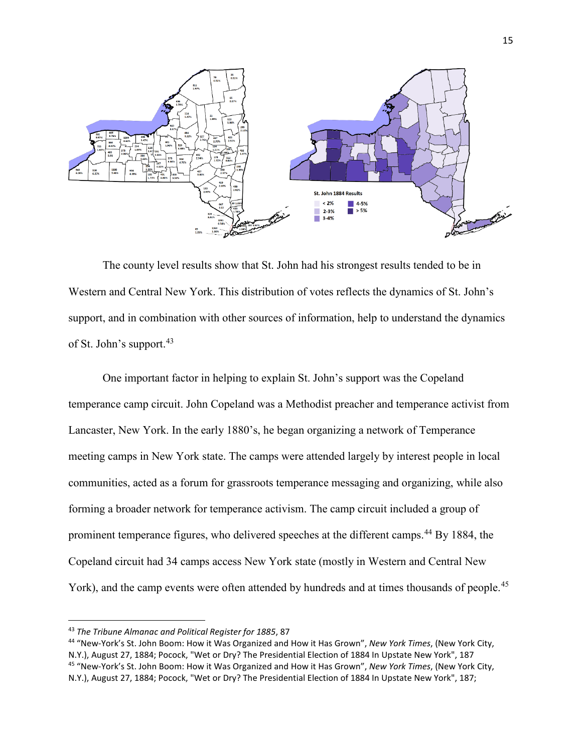

The county level results show that St. John had his strongest results tended to be in Western and Central New York. This distribution of votes reflects the dynamics of St. John's support, and in combination with other sources of information, help to understand the dynamics of St. John's support.<sup>[43](#page-14-0)</sup>

One important factor in helping to explain St. John's support was the Copeland temperance camp circuit. John Copeland was a Methodist preacher and temperance activist from Lancaster, New York. In the early 1880's, he began organizing a network of Temperance meeting camps in New York state. The camps were attended largely by interest people in local communities, acted as a forum for grassroots temperance messaging and organizing, while also forming a broader network for temperance activism. The camp circuit included a group of prominent temperance figures, who delivered speeches at the different camps.<sup>[44](#page-14-1)</sup> By 1884, the Copeland circuit had 34 camps access New York state (mostly in Western and Central New York), and the camp events were often attended by hundreds and at times thousands of people.<sup>[45](#page-14-2)</sup>

<span id="page-14-0"></span> <sup>43</sup> *The Tribune Almanac and Political Register for 1885*, 87

<span id="page-14-2"></span><span id="page-14-1"></span><sup>44</sup> "New-York's St. John Boom: How it Was Organized and How it Has Grown", *New York Times*, (New York City, N.Y.), August 27, 1884; Pocock, "Wet or Dry? The Presidential Election of 1884 In Upstate New York", 187 <sup>45</sup> "New-York's St. John Boom: How it Was Organized and How it Has Grown", *New York Times*, (New York City, N.Y.), August 27, 1884; Pocock, "Wet or Dry? The Presidential Election of 1884 In Upstate New York", 187;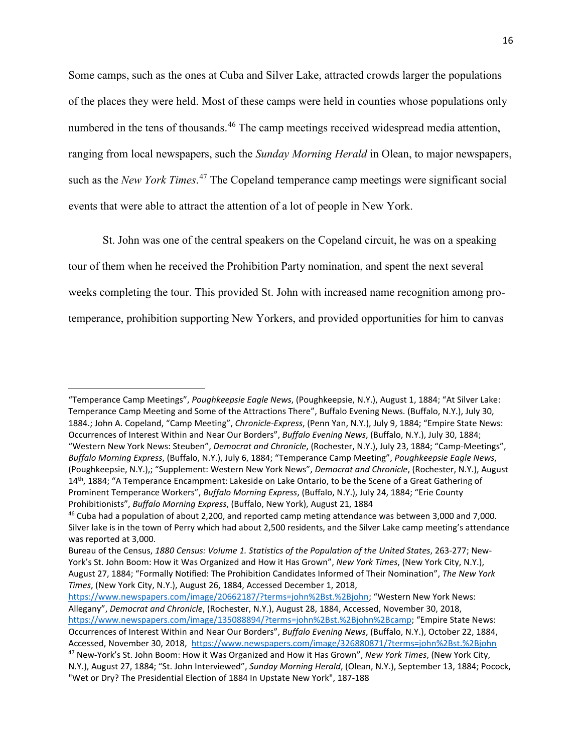Some camps, such as the ones at Cuba and Silver Lake, attracted crowds larger the populations of the places they were held. Most of these camps were held in counties whose populations only numbered in the tens of thousands.<sup>[46](#page-15-0)</sup> The camp meetings received widespread media attention, ranging from local newspapers, such the *Sunday Morning Herald* in Olean, to major newspapers, such as the *New York Times*. [47](#page-15-1) The Copeland temperance camp meetings were significant social events that were able to attract the attention of a lot of people in New York.

St. John was one of the central speakers on the Copeland circuit, he was on a speaking tour of them when he received the Prohibition Party nomination, and spent the next several weeks completing the tour. This provided St. John with increased name recognition among protemperance, prohibition supporting New Yorkers, and provided opportunities for him to canvas

l

<sup>&</sup>quot;Temperance Camp Meetings", *Poughkeepsie Eagle News*, (Poughkeepsie, N.Y.), August 1, 1884; "At Silver Lake: Temperance Camp Meeting and Some of the Attractions There", Buffalo Evening News. (Buffalo, N.Y.), July 30, 1884.; John A. Copeland, "Camp Meeting", *Chronicle-Express*, (Penn Yan, N.Y.), July 9, 1884; "Empire State News: Occurrences of Interest Within and Near Our Borders", *Buffalo Evening News*, (Buffalo, N.Y.), July 30, 1884; "Western New York News: Steuben", *Democrat and Chronicle*, (Rochester, N.Y.), July 23, 1884; "Camp-Meetings", *Buffalo Morning Express*, (Buffalo, N.Y.), July 6, 1884; "Temperance Camp Meeting", *Poughkeepsie Eagle News*, (Poughkeepsie, N.Y.),; "Supplement: Western New York News", *Democrat and Chronicle*, (Rochester, N.Y.), August 14<sup>th</sup>, 1884; "A Temperance Encampment: Lakeside on Lake Ontario, to be the Scene of a Great Gathering of Prominent Temperance Workers", *Buffalo Morning Express*, (Buffalo, N.Y.), July 24, 1884; "Erie County Prohibitionists", *Buffalo Morning Express*, (Buffalo, New York), August 21, 1884

<span id="page-15-0"></span><sup>46</sup> Cuba had a population of about 2,200, and reported camp meting attendance was between 3,000 and 7,000. Silver lake is in the town of Perry which had about 2,500 residents, and the Silver Lake camp meeting's attendance was reported at 3,000.

Bureau of the Census, *1880 Census: Volume 1. Statistics of the Population of the United States*, 263-277; New-York's St. John Boom: How it Was Organized and How it Has Grown", *New York Times*, (New York City, N.Y.), August 27, 1884; "Formally Notified: The Prohibition Candidates Informed of Their Nomination", *The New York Times*, (New York City, N.Y.), August 26, 1884, Accessed December 1, 2018,

[https://www.newspapers.com/image/20662187/?terms=john%2Bst.%2Bjohn;](https://www.newspapers.com/image/20662187/?terms=john%2Bst.%2Bjohn) "Western New York News: Allegany", *Democrat and Chronicle*, (Rochester, N.Y.), August 28, 1884, Accessed, November 30, 2018, [https://www.newspapers.com/image/135088894/?terms=john%2Bst.%2Bjohn%2Bcamp;](https://www.newspapers.com/image/135088894/?terms=john%2Bst.%2Bjohn%2Bcamp) "Empire State News: Occurrences of Interest Within and Near Our Borders", *Buffalo Evening News*, (Buffalo, N.Y.), October 22, 1884, Accessed, November 30, 2018,<https://www.newspapers.com/image/326880871/?terms=john%2Bst.%2Bjohn>

<span id="page-15-1"></span><sup>47</sup> New-York's St. John Boom: How it Was Organized and How it Has Grown", *New York Times*, (New York City, N.Y.), August 27, 1884; "St. John Interviewed", *Sunday Morning Herald*, (Olean, N.Y.), September 13, 1884; Pocock, "Wet or Dry? The Presidential Election of 1884 In Upstate New York", 187-188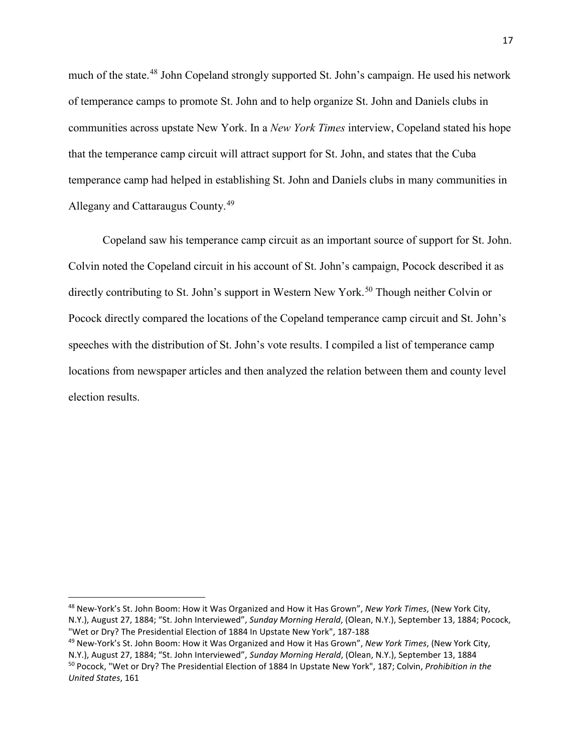much of the state.<sup>[48](#page-16-0)</sup> John Copeland strongly supported St. John's campaign. He used his network of temperance camps to promote St. John and to help organize St. John and Daniels clubs in communities across upstate New York. In a *New York Times* interview, Copeland stated his hope that the temperance camp circuit will attract support for St. John, and states that the Cuba temperance camp had helped in establishing St. John and Daniels clubs in many communities in Allegany and Cattaraugus County.[49](#page-16-1)

Copeland saw his temperance camp circuit as an important source of support for St. John. Colvin noted the Copeland circuit in his account of St. John's campaign, Pocock described it as directly contributing to St. John's support in Western New York.<sup>[50](#page-16-2)</sup> Though neither Colvin or Pocock directly compared the locations of the Copeland temperance camp circuit and St. John's speeches with the distribution of St. John's vote results. I compiled a list of temperance camp locations from newspaper articles and then analyzed the relation between them and county level election results.

<span id="page-16-0"></span> <sup>48</sup> New-York's St. John Boom: How it Was Organized and How it Has Grown", *New York Times*, (New York City, N.Y.), August 27, 1884; "St. John Interviewed", *Sunday Morning Herald*, (Olean, N.Y.), September 13, 1884; Pocock, "Wet or Dry? The Presidential Election of 1884 In Upstate New York", 187-188

<span id="page-16-2"></span><span id="page-16-1"></span><sup>49</sup> New-York's St. John Boom: How it Was Organized and How it Has Grown", *New York Times*, (New York City, N.Y.), August 27, 1884; "St. John Interviewed", *Sunday Morning Herald*, (Olean, N.Y.), September 13, 1884 <sup>50</sup> Pocock, "Wet or Dry? The Presidential Election of 1884 In Upstate New York", 187; Colvin, *Prohibition in the United States*, 161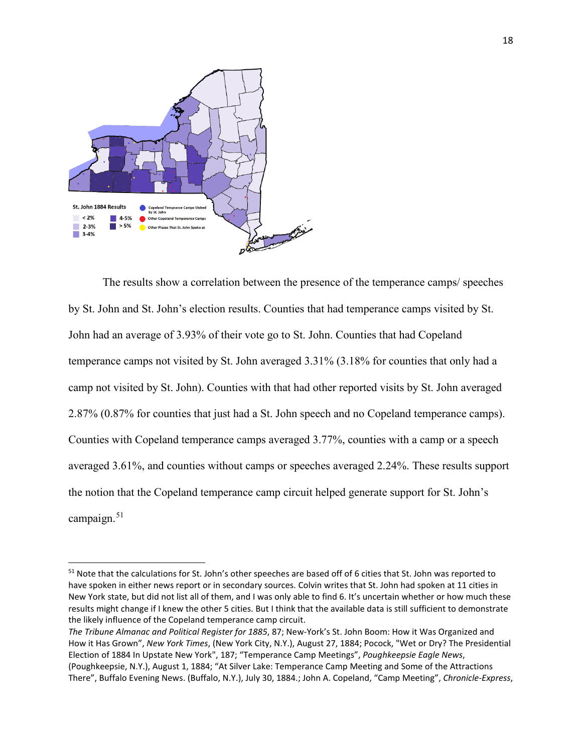

The results show a correlation between the presence of the temperance camps/ speeches by St. John and St. John's election results. Counties that had temperance camps visited by St. John had an average of 3.93% of their vote go to St. John. Counties that had Copeland temperance camps not visited by St. John averaged 3.31% (3.18% for counties that only had a camp not visited by St. John). Counties with that had other reported visits by St. John averaged 2.87% (0.87% for counties that just had a St. John speech and no Copeland temperance camps). Counties with Copeland temperance camps averaged 3.77%, counties with a camp or a speech averaged 3.61%, and counties without camps or speeches averaged 2.24%. These results support the notion that the Copeland temperance camp circuit helped generate support for St. John's campaign. $51$ 

<span id="page-17-0"></span><sup>&</sup>lt;sup>51</sup> Note that the calculations for St. John's other speeches are based off of 6 cities that St. John was reported to have spoken in either news report or in secondary sources. Colvin writes that St. John had spoken at 11 cities in New York state, but did not list all of them, and I was only able to find 6. It's uncertain whether or how much these results might change if I knew the other 5 cities. But I think that the available data is still sufficient to demonstrate the likely influence of the Copeland temperance camp circuit.

*The Tribune Almanac and Political Register for 1885*, 87; New-York's St. John Boom: How it Was Organized and How it Has Grown", *New York Times*, (New York City, N.Y.), August 27, 1884; Pocock, "Wet or Dry? The Presidential Election of 1884 In Upstate New York", 187; "Temperance Camp Meetings", *Poughkeepsie Eagle News*, (Poughkeepsie, N.Y.), August 1, 1884; "At Silver Lake: Temperance Camp Meeting and Some of the Attractions There", Buffalo Evening News. (Buffalo, N.Y.), July 30, 1884.; John A. Copeland, "Camp Meeting", *Chronicle-Express*,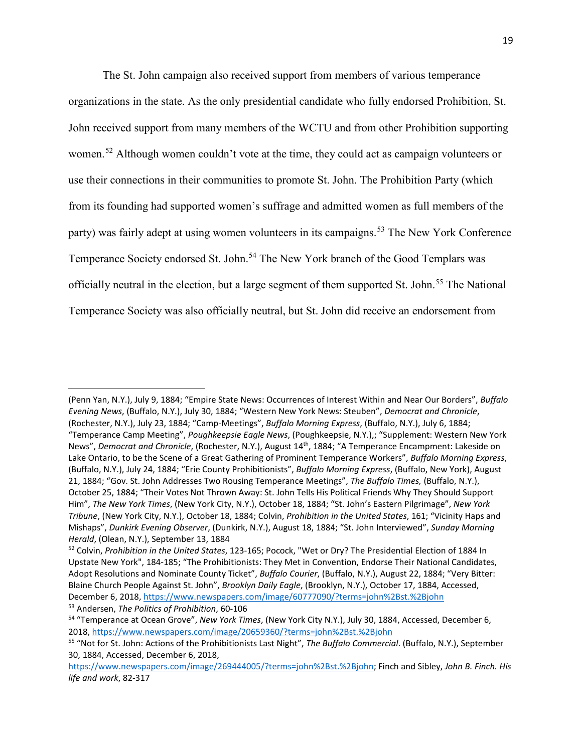The St. John campaign also received support from members of various temperance organizations in the state. As the only presidential candidate who fully endorsed Prohibition, St. John received support from many members of the WCTU and from other Prohibition supporting women.<sup>[52](#page-18-0)</sup> Although women couldn't vote at the time, they could act as campaign volunteers or use their connections in their communities to promote St. John. The Prohibition Party (which from its founding had supported women's suffrage and admitted women as full members of the party) was fairly adept at using women volunteers in its campaigns.<sup>[53](#page-18-1)</sup> The New York Conference Temperance Society endorsed St. John.<sup>[54](#page-18-2)</sup> The New York branch of the Good Templars was officially neutral in the election, but a large segment of them supported St. John.<sup>[55](#page-18-3)</sup> The National Temperance Society was also officially neutral, but St. John did receive an endorsement from

l

<sup>(</sup>Penn Yan, N.Y.), July 9, 1884; "Empire State News: Occurrences of Interest Within and Near Our Borders", *Buffalo Evening News*, (Buffalo, N.Y.), July 30, 1884; "Western New York News: Steuben", *Democrat and Chronicle*, (Rochester, N.Y.), July 23, 1884; "Camp-Meetings", *Buffalo Morning Express*, (Buffalo, N.Y.), July 6, 1884; "Temperance Camp Meeting", *Poughkeepsie Eagle News*, (Poughkeepsie, N.Y.),; "Supplement: Western New York News", *Democrat and Chronicle*, (Rochester, N.Y.), August 14th, 1884; "A Temperance Encampment: Lakeside on Lake Ontario, to be the Scene of a Great Gathering of Prominent Temperance Workers", *Buffalo Morning Express*, (Buffalo, N.Y.), July 24, 1884; "Erie County Prohibitionists", *Buffalo Morning Express*, (Buffalo, New York), August 21, 1884; "Gov. St. John Addresses Two Rousing Temperance Meetings", *The Buffalo Times,* (Buffalo, N.Y.), October 25, 1884; "Their Votes Not Thrown Away: St. John Tells His Political Friends Why They Should Support Him", *The New York Times*, (New York City, N.Y.), October 18, 1884; "St. John's Eastern Pilgrimage", *New York Tribune*, (New York City, N.Y.), October 18, 1884; Colvin, *Prohibition in the United States*, 161; "Vicinity Haps and Mishaps", *Dunkirk Evening Observer*, (Dunkirk, N.Y.), August 18, 1884; "St. John Interviewed", *Sunday Morning Herald*, (Olean, N.Y.), September 13, 1884

<span id="page-18-0"></span><sup>52</sup> Colvin, *Prohibition in the United States*, 123-165; Pocock, "Wet or Dry? The Presidential Election of 1884 In Upstate New York", 184-185; "The Prohibitionists: They Met in Convention, Endorse Their National Candidates, Adopt Resolutions and Nominate County Ticket", *Buffalo Courier*, (Buffalo, N.Y.), August 22, 1884; "Very Bitter: Blaine Church People Against St. John", *Brooklyn Daily Eagle*, (Brooklyn, N.Y.), October 17, 1884, Accessed, December 6, 2018, <https://www.newspapers.com/image/60777090/?terms=john%2Bst.%2Bjohn> <sup>53</sup> Andersen, *The Politics of Prohibition*, 60-106

<span id="page-18-2"></span><span id="page-18-1"></span><sup>54</sup> "Temperance at Ocean Grove", *New York Times*, (New York City N.Y.), July 30, 1884, Accessed, December 6, 2018, <https://www.newspapers.com/image/20659360/?terms=john%2Bst.%2Bjohn>

<span id="page-18-3"></span><sup>55</sup> "Not for St. John: Actions of the Prohibitionists Last Night", *The Buffalo Commercial*. (Buffalo, N.Y.), September 30, 1884, Accessed, December 6, 2018,

[https://www.newspapers.com/image/269444005/?terms=john%2Bst.%2Bjohn;](https://www.newspapers.com/image/269444005/?terms=john%2Bst.%2Bjohn) Finch and Sibley, *John B. Finch. His life and work*, 82-317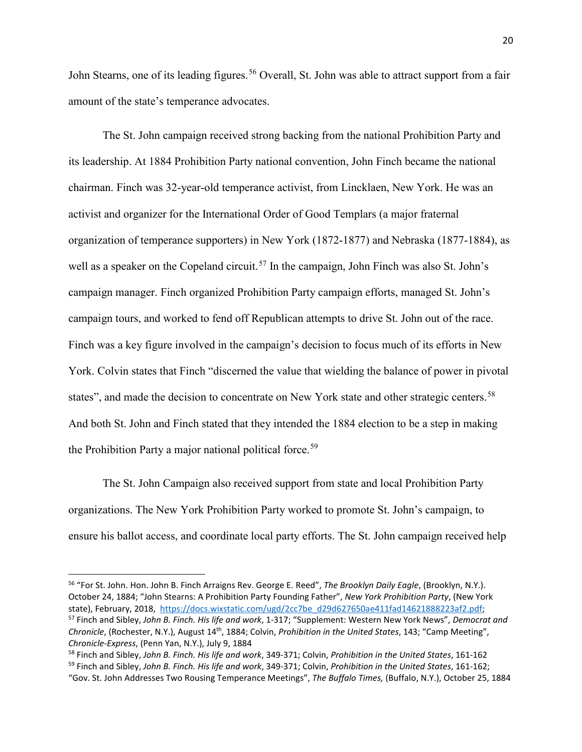John Stearns, one of its leading figures.<sup>[56](#page-19-0)</sup> Overall, St. John was able to attract support from a fair amount of the state's temperance advocates.

The St. John campaign received strong backing from the national Prohibition Party and its leadership. At 1884 Prohibition Party national convention, John Finch became the national chairman. Finch was 32-year-old temperance activist, from Lincklaen, New York. He was an activist and organizer for the International Order of Good Templars (a major fraternal organization of temperance supporters) in New York (1872-1877) and Nebraska (1877-1884), as well as a speaker on the Copeland circuit.<sup>[57](#page-19-1)</sup> In the campaign, John Finch was also St. John's campaign manager. Finch organized Prohibition Party campaign efforts, managed St. John's campaign tours, and worked to fend off Republican attempts to drive St. John out of the race. Finch was a key figure involved in the campaign's decision to focus much of its efforts in New York. Colvin states that Finch "discerned the value that wielding the balance of power in pivotal states", and made the decision to concentrate on New York state and other strategic centers.<sup>[58](#page-19-2)</sup> And both St. John and Finch stated that they intended the 1884 election to be a step in making the Prohibition Party a major national political force.<sup>[59](#page-19-3)</sup>

The St. John Campaign also received support from state and local Prohibition Party organizations. The New York Prohibition Party worked to promote St. John's campaign, to ensure his ballot access, and coordinate local party efforts. The St. John campaign received help

<span id="page-19-0"></span> <sup>56</sup> "For St. John. Hon. John B. Finch Arraigns Rev. George E. Reed", *The Brooklyn Daily Eagle*, (Brooklyn, N.Y.). October 24, 1884; "John Stearns: A Prohibition Party Founding Father", *New York Prohibition Party*, (New York state), February, 2018, [https://docs.wixstatic.com/ugd/2cc7be\\_d29d627650ae411fad14621888223af2.pdf;](https://docs.wixstatic.com/ugd/2cc7be_d29d627650ae411fad14621888223af2.pdf)<br><sup>57</sup> Finch and Sibley, John B. Finch. His life and work, 1-317; "Supplement: Western New York News", Democrat and

<span id="page-19-1"></span>*Chronicle*, (Rochester, N.Y.), August 14th, 1884; Colvin, *Prohibition in the United States*, 143; "Camp Meeting", *Chronicle-Express*, (Penn Yan, N.Y.), July 9, 1884

<span id="page-19-3"></span><span id="page-19-2"></span><sup>58</sup> Finch and Sibley, *John B. Finch. His life and work*, 349-371; Colvin, *Prohibition in the United States*, 161-162 <sup>59</sup> Finch and Sibley, *John B. Finch. His life and work*, 349-371; Colvin, *Prohibition in the United States*, 161-162; "Gov. St. John Addresses Two Rousing Temperance Meetings", *The Buffalo Times,* (Buffalo, N.Y.), October 25, 1884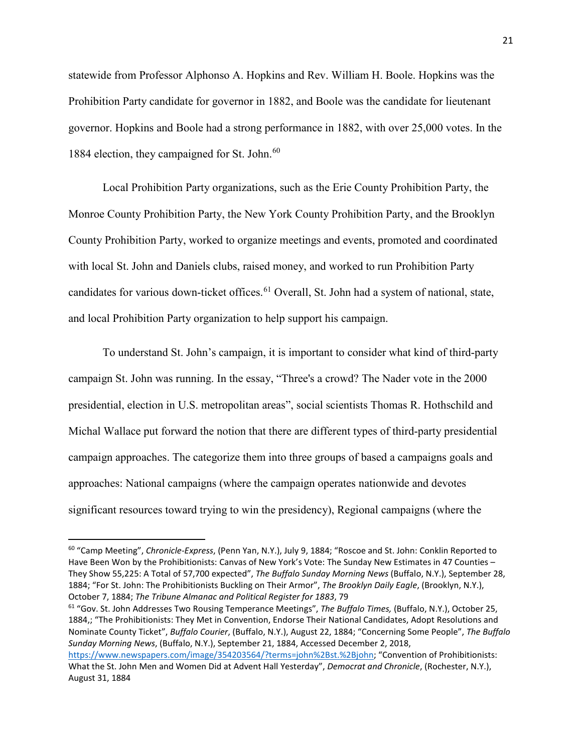statewide from Professor Alphonso A. Hopkins and Rev. William H. Boole. Hopkins was the Prohibition Party candidate for governor in 1882, and Boole was the candidate for lieutenant governor. Hopkins and Boole had a strong performance in 1882, with over 25,000 votes. In the 1884 election, they campaigned for St. John.<sup>60</sup>

Local Prohibition Party organizations, such as the Erie County Prohibition Party, the Monroe County Prohibition Party, the New York County Prohibition Party, and the Brooklyn County Prohibition Party, worked to organize meetings and events, promoted and coordinated with local St. John and Daniels clubs, raised money, and worked to run Prohibition Party candidates for various down-ticket offices.<sup>[61](#page-20-1)</sup> Overall, St. John had a system of national, state, and local Prohibition Party organization to help support his campaign.

To understand St. John's campaign, it is important to consider what kind of third-party campaign St. John was running. In the essay, "Three's a crowd? The Nader vote in the 2000 presidential, election in U.S. metropolitan areas", social scientists Thomas R. Hothschild and Michal Wallace put forward the notion that there are different types of third-party presidential campaign approaches. The categorize them into three groups of based a campaigns goals and approaches: National campaigns (where the campaign operates nationwide and devotes significant resources toward trying to win the presidency), Regional campaigns (where the

<span id="page-20-1"></span><sup>61</sup> "Gov. St. John Addresses Two Rousing Temperance Meetings", *The Buffalo Times,* (Buffalo, N.Y.), October 25, 1884,; "The Prohibitionists: They Met in Convention, Endorse Their National Candidates, Adopt Resolutions and Nominate County Ticket", *Buffalo Courier*, (Buffalo, N.Y.), August 22, 1884; "Concerning Some People", *The Buffalo Sunday Morning News*, (Buffalo, N.Y.), September 21, 1884, Accessed December 2, 2018,

<span id="page-20-0"></span> <sup>60</sup> "Camp Meeting", *Chronicle-Express*, (Penn Yan, N.Y.), July 9, 1884; "Roscoe and St. John: Conklin Reported to Have Been Won by the Prohibitionists: Canvas of New York's Vote: The Sunday New Estimates in 47 Counties – They Show 55,225: A Total of 57,700 expected", *The Buffalo Sunday Morning News* (Buffalo, N.Y.), September 28, 1884; "For St. John: The Prohibitionists Buckling on Their Armor", *The Brooklyn Daily Eagle*, (Brooklyn, N.Y.), October 7, 1884; *The Tribune Almanac and Political Register for 1883*, 79

[https://www.newspapers.com/image/354203564/?terms=john%2Bst.%2Bjohn;](https://www.newspapers.com/image/354203564/?terms=john%2Bst.%2Bjohn) "Convention of Prohibitionists: What the St. John Men and Women Did at Advent Hall Yesterday", *Democrat and Chronicle*, (Rochester, N.Y.), August 31, 1884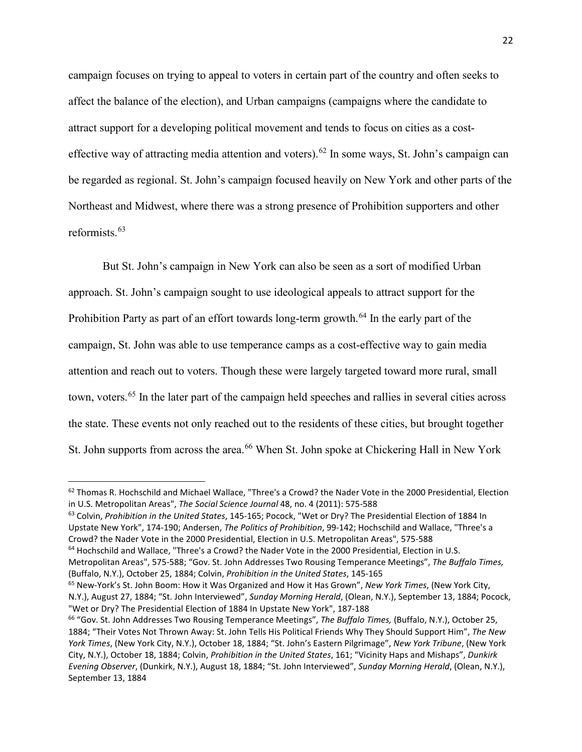campaign focuses on trying to appeal to voters in certain part of the country and often seeks to affect the balance of the election), and Urban campaigns (campaigns where the candidate to attract support for a developing political movement and tends to focus on cities as a cost-effective way of attracting media attention and voters).<sup>[62](#page-21-0)</sup> In some ways, St. John's campaign can be regarded as regional. St. John's campaign focused heavily on New York and other parts of the Northeast and Midwest, where there was a strong presence of Prohibition supporters and other reformists.[63](#page-21-1)

But St. John's campaign in New York can also be seen as a sort of modified Urban approach. St. John's campaign sought to use ideological appeals to attract support for the Prohibition Party as part of an effort towards long-term growth.<sup>[64](#page-21-2)</sup> In the early part of the campaign, St. John was able to use temperance camps as a cost-effective way to gain media attention and reach out to voters. Though these were largely targeted toward more rural, small town, voters.<sup>[65](#page-21-3)</sup> In the later part of the campaign held speeches and rallies in several cities across the state. These events not only reached out to the residents of these cities, but brought together St. John supports from across the area. [66](#page-21-4) When St. John spoke at Chickering Hall in New York

<span id="page-21-0"></span> $62$  Thomas R. Hochschild and Michael Wallace, "Three's a Crowd? the Nader Vote in the 2000 Presidential, Election in U.S. Metropolitan Areas", *The Social Science Journal* 48, no. 4 (2011): 575-588

<span id="page-21-1"></span><sup>63</sup> Colvin, *Prohibition in the United States*, 145-165; Pocock, "Wet or Dry? The Presidential Election of 1884 In Upstate New York", 174-190; Andersen, *The Politics of Prohibition*, 99-142; Hochschild and Wallace, "Three's a Crowd? the Nader Vote in the 2000 Presidential, Election in U.S. Metropolitan Areas", 575-588

<span id="page-21-2"></span><sup>64</sup> Hochschild and Wallace, "Three's a Crowd? the Nader Vote in the 2000 Presidential, Election in U.S. Metropolitan Areas", 575-588; "Gov. St. John Addresses Two Rousing Temperance Meetings", *The Buffalo Times,* (Buffalo, N.Y.), October 25, 1884; Colvin, *Prohibition in the United States*, 145-165

<span id="page-21-3"></span><sup>65</sup> New-York's St. John Boom: How it Was Organized and How it Has Grown", *New York Times*, (New York City, N.Y.), August 27, 1884; "St. John Interviewed", *Sunday Morning Herald*, (Olean, N.Y.), September 13, 1884; Pocock, "Wet or Dry? The Presidential Election of 1884 In Upstate New York", 187-188

<span id="page-21-4"></span><sup>66</sup> "Gov. St. John Addresses Two Rousing Temperance Meetings", *The Buffalo Times,* (Buffalo, N.Y.), October 25, 1884; "Their Votes Not Thrown Away: St. John Tells His Political Friends Why They Should Support Him", *The New York Times*, (New York City, N.Y.), October 18, 1884; "St. John's Eastern Pilgrimage", *New York Tribune*, (New York City, N.Y.), October 18, 1884; Colvin, *Prohibition in the United States*, 161; "Vicinity Haps and Mishaps", *Dunkirk Evening Observer*, (Dunkirk, N.Y.), August 18, 1884; "St. John Interviewed", *Sunday Morning Herald*, (Olean, N.Y.), September 13, 1884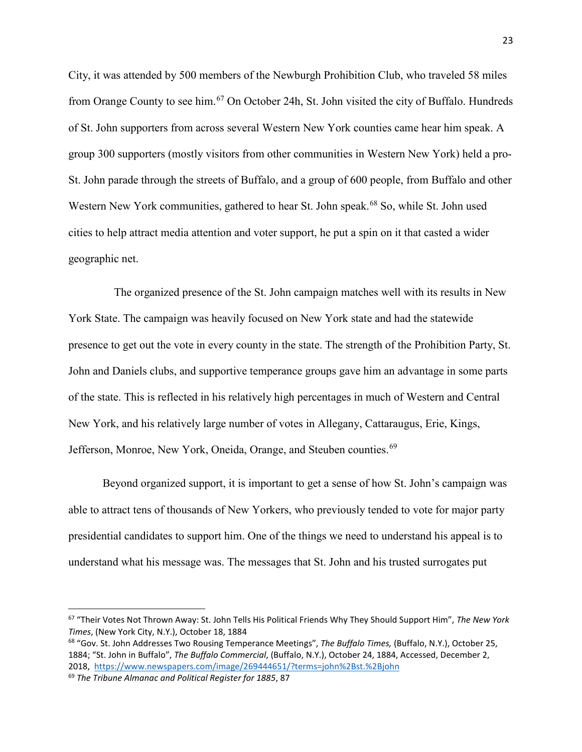City, it was attended by 500 members of the Newburgh Prohibition Club, who traveled 58 miles from Orange County to see him.<sup>[67](#page-22-0)</sup> On October 24h, St. John visited the city of Buffalo. Hundreds of St. John supporters from across several Western New York counties came hear him speak. A group 300 supporters (mostly visitors from other communities in Western New York) held a pro-St. John parade through the streets of Buffalo, and a group of 600 people, from Buffalo and other Western New York communities, gathered to hear St. John speak.<sup>[68](#page-22-1)</sup> So, while St. John used cities to help attract media attention and voter support, he put a spin on it that casted a wider geographic net.

 The organized presence of the St. John campaign matches well with its results in New York State. The campaign was heavily focused on New York state and had the statewide presence to get out the vote in every county in the state. The strength of the Prohibition Party, St. John and Daniels clubs, and supportive temperance groups gave him an advantage in some parts of the state. This is reflected in his relatively high percentages in much of Western and Central New York, and his relatively large number of votes in Allegany, Cattaraugus, Erie, Kings, Jefferson, Monroe, New York, Oneida, Orange, and Steuben counties.<sup>69</sup>

Beyond organized support, it is important to get a sense of how St. John's campaign was able to attract tens of thousands of New Yorkers, who previously tended to vote for major party presidential candidates to support him. One of the things we need to understand his appeal is to understand what his message was. The messages that St. John and his trusted surrogates put

<span id="page-22-0"></span> <sup>67</sup> "Their Votes Not Thrown Away: St. John Tells His Political Friends Why They Should Support Him", *The New York Times*, (New York City, N.Y.), October 18, 1884

<span id="page-22-1"></span><sup>68</sup> "Gov. St. John Addresses Two Rousing Temperance Meetings", *The Buffalo Times,* (Buffalo, N.Y.), October 25, 1884; "St. John in Buffalo", *The Buffalo Commercial*, (Buffalo, N.Y.), October 24, 1884, Accessed, December 2, 2018, <https://www.newspapers.com/image/269444651/?terms=john%2Bst.%2Bjohn>

<span id="page-22-2"></span><sup>69</sup> *The Tribune Almanac and Political Register for 1885*, 87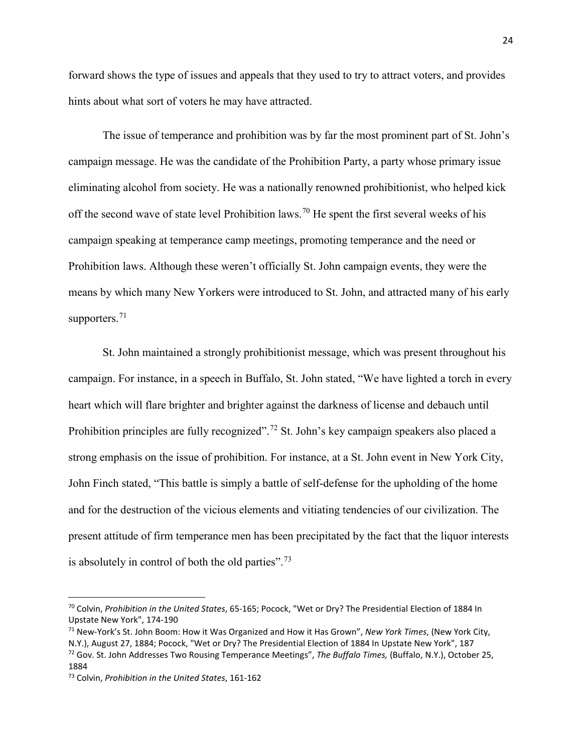forward shows the type of issues and appeals that they used to try to attract voters, and provides hints about what sort of voters he may have attracted.

The issue of temperance and prohibition was by far the most prominent part of St. John's campaign message. He was the candidate of the Prohibition Party, a party whose primary issue eliminating alcohol from society. He was a nationally renowned prohibitionist, who helped kick off the second wave of state level Prohibition laws.<sup>[70](#page-23-0)</sup> He spent the first several weeks of his campaign speaking at temperance camp meetings, promoting temperance and the need or Prohibition laws. Although these weren't officially St. John campaign events, they were the means by which many New Yorkers were introduced to St. John, and attracted many of his early supporters. $71$ 

St. John maintained a strongly prohibitionist message, which was present throughout his campaign. For instance, in a speech in Buffalo, St. John stated, "We have lighted a torch in every heart which will flare brighter and brighter against the darkness of license and debauch until Prohibition principles are fully recognized".<sup>[72](#page-23-2)</sup> St. John's key campaign speakers also placed a strong emphasis on the issue of prohibition. For instance, at a St. John event in New York City, John Finch stated, "This battle is simply a battle of self-defense for the upholding of the home and for the destruction of the vicious elements and vitiating tendencies of our civilization. The present attitude of firm temperance men has been precipitated by the fact that the liquor interests is absolutely in control of both the old parties".<sup>[73](#page-23-3)</sup>

<span id="page-23-0"></span> <sup>70</sup> Colvin, *Prohibition in the United States*, 65-165; Pocock, "Wet or Dry? The Presidential Election of 1884 In Upstate New York", 174-190

<span id="page-23-2"></span><span id="page-23-1"></span><sup>71</sup> New-York's St. John Boom: How it Was Organized and How it Has Grown", *New York Times*, (New York City, N.Y.), August 27, 1884; Pocock, "Wet or Dry? The Presidential Election of 1884 In Upstate New York", 187 <sup>72</sup> Gov. St. John Addresses Two Rousing Temperance Meetings", *The Buffalo Times,* (Buffalo, N.Y.), October 25, 1884

<span id="page-23-3"></span><sup>73</sup> Colvin, *Prohibition in the United States*, 161-162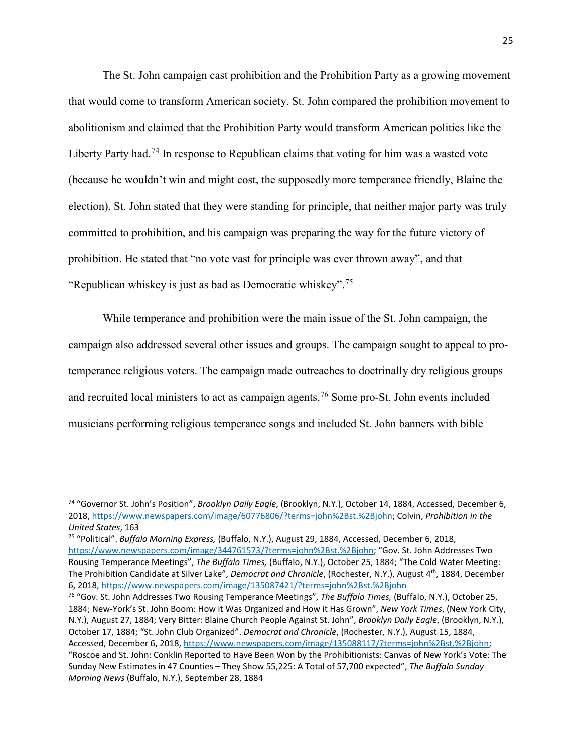The St. John campaign cast prohibition and the Prohibition Party as a growing movement that would come to transform American society. St. John compared the prohibition movement to abolitionism and claimed that the Prohibition Party would transform American politics like the Liberty Party had.<sup>[74](#page-24-0)</sup> In response to Republican claims that voting for him was a wasted vote (because he wouldn't win and might cost, the supposedly more temperance friendly, Blaine the election), St. John stated that they were standing for principle, that neither major party was truly committed to prohibition, and his campaign was preparing the way for the future victory of prohibition. He stated that "no vote vast for principle was ever thrown away", and that "Republican whiskey is just as bad as Democratic whiskey".[75](#page-24-1)

While temperance and prohibition were the main issue of the St. John campaign, the campaign also addressed several other issues and groups. The campaign sought to appeal to protemperance religious voters. The campaign made outreaches to doctrinally dry religious groups and recruited local ministers to act as campaign agents.<sup>[76](#page-24-2)</sup> Some pro-St. John events included musicians performing religious temperance songs and included St. John banners with bible

<span id="page-24-2"></span><sup>76</sup> "Gov. St. John Addresses Two Rousing Temperance Meetings", *The Buffalo Times,* (Buffalo, N.Y.), October 25, 1884; New-York's St. John Boom: How it Was Organized and How it Has Grown", *New York Times*, (New York City, N.Y.), August 27, 1884; Very Bitter: Blaine Church People Against St. John", *Brooklyn Daily Eagle*, (Brooklyn, N.Y.), October 17, 1884; "St. John Club Organized". *Democrat and Chronicle*, (Rochester, N.Y.), August 15, 1884, Accessed, December 6, 2018, [https://www.newspapers.com/image/135088117/?terms=john%2Bst.%2Bjohn;](https://www.newspapers.com/image/135088117/?terms=john%2Bst.%2Bjohn) "Roscoe and St. John: Conklin Reported to Have Been Won by the Prohibitionists: Canvas of New York's Vote: The Sunday New Estimates in 47 Counties – They Show 55,225: A Total of 57,700 expected", *The Buffalo Sunday Morning News* (Buffalo, N.Y.), September 28, 1884

<span id="page-24-0"></span> <sup>74</sup> "Governor St. John's Position", *Brooklyn Daily Eagle*, (Brooklyn, N.Y.), October 14, 1884, Accessed, December 6, 2018, [https://www.newspapers.com/image/60776806/?terms=john%2Bst.%2Bjohn;](https://www.newspapers.com/image/60776806/?terms=john%2Bst.%2Bjohn) Colvin, *Prohibition in the United States*, 163

<span id="page-24-1"></span><sup>75</sup> "Political". *Buffalo Morning Express,* (Buffalo, N.Y.), August 29, 1884, Accessed, December 6, 2018, [https://www.newspapers.com/image/344761573/?terms=john%2Bst.%2Bjohn;](https://www.newspapers.com/image/344761573/?terms=john%2Bst.%2Bjohn) "Gov. St. John Addresses Two Rousing Temperance Meetings", *The Buffalo Times,* (Buffalo, N.Y.), October 25, 1884; "The Cold Water Meeting: The Prohibition Candidate at Silver Lake", *Democrat and Chronicle*, (Rochester, N.Y.), August 4th, 1884, December 6, 2018, <https://www.newspapers.com/image/135087421/?terms=john%2Bst.%2Bjohn>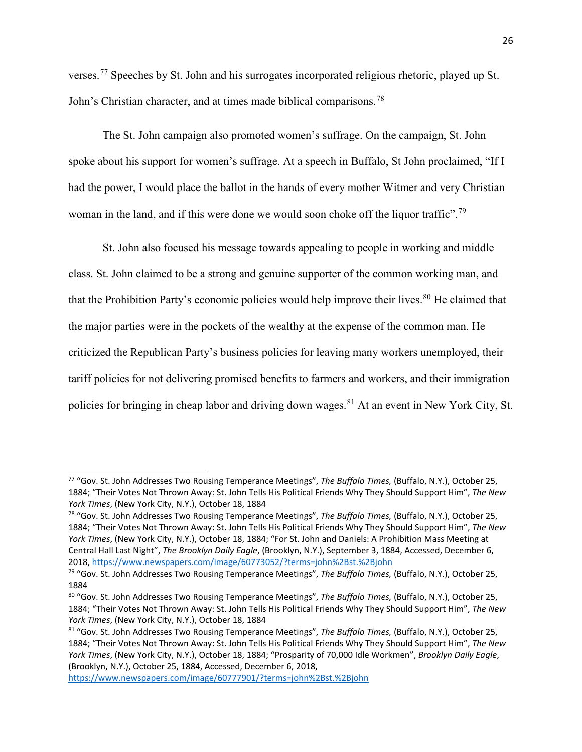verses.<sup>[77](#page-25-0)</sup> Speeches by St. John and his surrogates incorporated religious rhetoric, played up St. John's Christian character, and at times made biblical comparisons.<sup>[78](#page-25-1)</sup>

The St. John campaign also promoted women's suffrage. On the campaign, St. John spoke about his support for women's suffrage. At a speech in Buffalo, St John proclaimed, "If I had the power, I would place the ballot in the hands of every mother Witmer and very Christian woman in the land, and if this were done we would soon choke off the liquor traffic".<sup>[79](#page-25-2)</sup>

St. John also focused his message towards appealing to people in working and middle class. St. John claimed to be a strong and genuine supporter of the common working man, and that the Prohibition Party's economic policies would help improve their lives.<sup>[80](#page-25-3)</sup> He claimed that the major parties were in the pockets of the wealthy at the expense of the common man. He criticized the Republican Party's business policies for leaving many workers unemployed, their tariff policies for not delivering promised benefits to farmers and workers, and their immigration policies for bringing in cheap labor and driving down wages.<sup>[81](#page-25-4)</sup> At an event in New York City, St.

<span id="page-25-0"></span> <sup>77</sup> "Gov. St. John Addresses Two Rousing Temperance Meetings", *The Buffalo Times,* (Buffalo, N.Y.), October 25, 1884; "Their Votes Not Thrown Away: St. John Tells His Political Friends Why They Should Support Him", *The New York Times*, (New York City, N.Y.), October 18, 1884

<span id="page-25-1"></span><sup>78</sup> "Gov. St. John Addresses Two Rousing Temperance Meetings", *The Buffalo Times,* (Buffalo, N.Y.), October 25, 1884; "Their Votes Not Thrown Away: St. John Tells His Political Friends Why They Should Support Him", *The New York Times*, (New York City, N.Y.), October 18, 1884; "For St. John and Daniels: A Prohibition Mass Meeting at Central Hall Last Night", *The Brooklyn Daily Eagle*, (Brooklyn, N.Y.), September 3, 1884, Accessed, December 6, 2018, <https://www.newspapers.com/image/60773052/?terms=john%2Bst.%2Bjohn>

<span id="page-25-2"></span><sup>79</sup> "Gov. St. John Addresses Two Rousing Temperance Meetings", *The Buffalo Times,* (Buffalo, N.Y.), October 25, 1884

<span id="page-25-3"></span><sup>80</sup> "Gov. St. John Addresses Two Rousing Temperance Meetings", *The Buffalo Times,* (Buffalo, N.Y.), October 25, 1884; "Their Votes Not Thrown Away: St. John Tells His Political Friends Why They Should Support Him", *The New York Times*, (New York City, N.Y.), October 18, 1884

<span id="page-25-4"></span><sup>81</sup> "Gov. St. John Addresses Two Rousing Temperance Meetings", *The Buffalo Times,* (Buffalo, N.Y.), October 25, 1884; "Their Votes Not Thrown Away: St. John Tells His Political Friends Why They Should Support Him", *The New York Times*, (New York City, N.Y.), October 18, 1884; "Prosparity of 70,000 Idle Workmen", *Brooklyn Daily Eagle*, (Brooklyn, N.Y.), October 25, 1884, Accessed, December 6, 2018,

<https://www.newspapers.com/image/60777901/?terms=john%2Bst.%2Bjohn>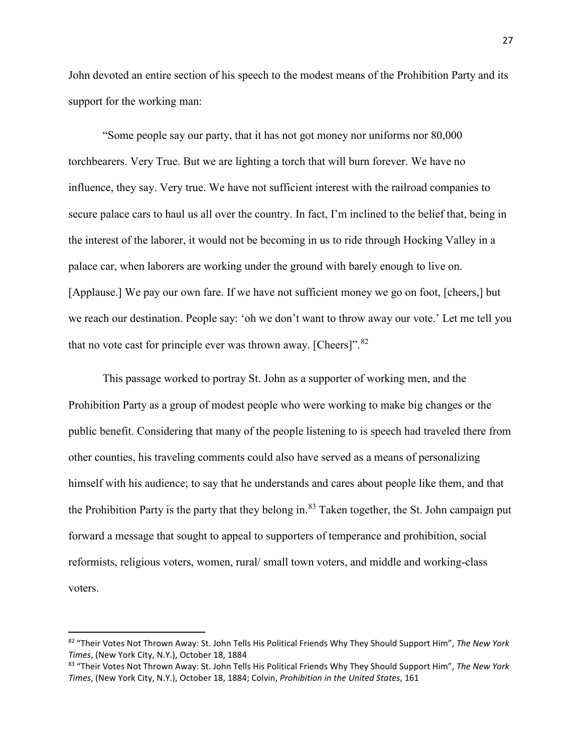John devoted an entire section of his speech to the modest means of the Prohibition Party and its support for the working man:

"Some people say our party, that it has not got money nor uniforms nor 80,000 torchbearers. Very True. But we are lighting a torch that will burn forever. We have no influence, they say. Very true. We have not sufficient interest with the railroad companies to secure palace cars to haul us all over the country. In fact, I'm inclined to the belief that, being in the interest of the laborer, it would not be becoming in us to ride through Hocking Valley in a palace car, when laborers are working under the ground with barely enough to live on. [Applause.] We pay our own fare. If we have not sufficient money we go on foot, [cheers,] but we reach our destination. People say: 'oh we don't want to throw away our vote.' Let me tell you that no vote cast for principle ever was thrown away. [Cheers]". $82$ 

This passage worked to portray St. John as a supporter of working men, and the Prohibition Party as a group of modest people who were working to make big changes or the public benefit. Considering that many of the people listening to is speech had traveled there from other counties, his traveling comments could also have served as a means of personalizing himself with his audience; to say that he understands and cares about people like them, and that the Prohibition Party is the party that they belong in.<sup>[83](#page-26-1)</sup> Taken together, the St. John campaign put forward a message that sought to appeal to supporters of temperance and prohibition, social reformists, religious voters, women, rural/ small town voters, and middle and working-class voters.

<span id="page-26-0"></span> <sup>82</sup> "Their Votes Not Thrown Away: St. John Tells His Political Friends Why They Should Support Him", *The New York Times*, (New York City, N.Y.), October 18, 1884

<span id="page-26-1"></span><sup>83</sup> "Their Votes Not Thrown Away: St. John Tells His Political Friends Why They Should Support Him", *The New York Times*, (New York City, N.Y.), October 18, 1884; Colvin, *Prohibition in the United States*, 161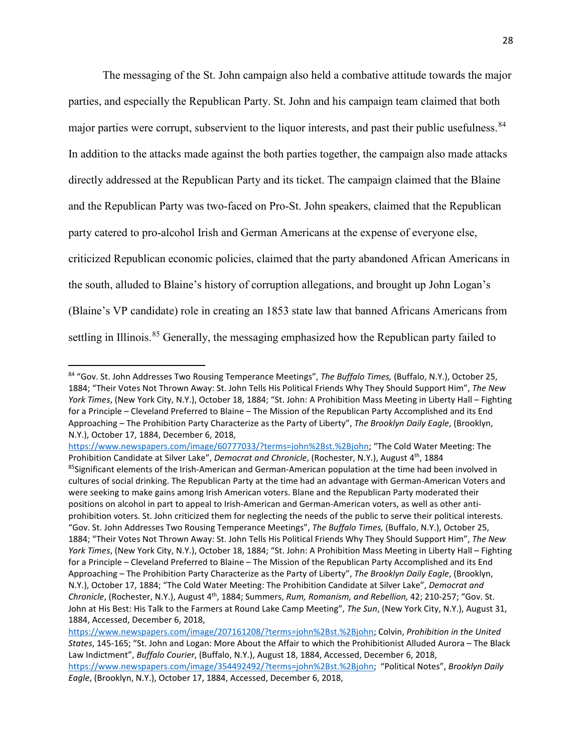The messaging of the St. John campaign also held a combative attitude towards the major parties, and especially the Republican Party. St. John and his campaign team claimed that both major parties were corrupt, subservient to the liquor interests, and past their public usefulness.<sup>[84](#page-27-0)</sup> In addition to the attacks made against the both parties together, the campaign also made attacks directly addressed at the Republican Party and its ticket. The campaign claimed that the Blaine and the Republican Party was two-faced on Pro-St. John speakers, claimed that the Republican party catered to pro-alcohol Irish and German Americans at the expense of everyone else, criticized Republican economic policies, claimed that the party abandoned African Americans in the south, alluded to Blaine's history of corruption allegations, and brought up John Logan's (Blaine's VP candidate) role in creating an 1853 state law that banned Africans Americans from settling in Illinois.<sup>[85](#page-27-1)</sup> Generally, the messaging emphasized how the Republican party failed to

<span id="page-27-0"></span> <sup>84</sup> "Gov. St. John Addresses Two Rousing Temperance Meetings", *The Buffalo Times,* (Buffalo, N.Y.), October 25, 1884; "Their Votes Not Thrown Away: St. John Tells His Political Friends Why They Should Support Him", *The New York Times*, (New York City, N.Y.), October 18, 1884; "St. John: A Prohibition Mass Meeting in Liberty Hall – Fighting for a Principle – Cleveland Preferred to Blaine – The Mission of the Republican Party Accomplished and its End Approaching – The Prohibition Party Characterize as the Party of Liberty", *The Brooklyn Daily Eagle*, (Brooklyn, N.Y.), October 17, 1884, December 6, 2018,

[https://www.newspapers.com/image/60777033/?terms=john%2Bst.%2Bjohn;](https://www.newspapers.com/image/60777033/?terms=john%2Bst.%2Bjohn) "The Cold Water Meeting: The Prohibition Candidate at Silver Lake", *Democrat and Chronicle*, (Rochester, N.Y.), August 4<sup>th</sup>, 1884

<span id="page-27-1"></span><sup>&</sup>lt;sup>85</sup>Significant elements of the Irish-American and German-American population at the time had been involved in cultures of social drinking. The Republican Party at the time had an advantage with German-American Voters and were seeking to make gains among Irish American voters. Blane and the Republican Party moderated their positions on alcohol in part to appeal to Irish-American and German-American voters, as well as other antiprohibition voters. St. John criticized them for neglecting the needs of the public to serve their political interests. "Gov. St. John Addresses Two Rousing Temperance Meetings", *The Buffalo Times,* (Buffalo, N.Y.), October 25, 1884; "Their Votes Not Thrown Away: St. John Tells His Political Friends Why They Should Support Him", *The New York Times*, (New York City, N.Y.), October 18, 1884; "St. John: A Prohibition Mass Meeting in Liberty Hall – Fighting for a Principle – Cleveland Preferred to Blaine – The Mission of the Republican Party Accomplished and its End Approaching – The Prohibition Party Characterize as the Party of Liberty", *The Brooklyn Daily Eagle*, (Brooklyn, N.Y.), October 17, 1884; "The Cold Water Meeting: The Prohibition Candidate at Silver Lake", *Democrat and Chronicle*, (Rochester, N.Y.), August 4th, 1884; Summers, *Rum, Romanism, and Rebellion,* 42; 210-257; "Gov. St. John at His Best: His Talk to the Farmers at Round Lake Camp Meeting", *The Sun*, (New York City, N.Y.), August 31, 1884, Accessed, December 6, 2018,

[https://www.newspapers.com/image/207161208/?terms=john%2Bst.%2Bjohn;](https://www.newspapers.com/image/207161208/?terms=john%2Bst.%2Bjohn) Colvin, *Prohibition in the United States*, 145-165; "St. John and Logan: More About the Affair to which the Prohibitionist Alluded Aurora – The Black Law Indictment", *Buffalo Courier*, (Buffalo, N.Y.), August 18, 1884, Accessed, December 6, 2018, [https://www.newspapers.com/image/354492492/?terms=john%2Bst.%2Bjohn;](https://www.newspapers.com/image/354492492/?terms=john%2Bst.%2Bjohn) "Political Notes", *Brooklyn Daily Eagle*, (Brooklyn, N.Y.), October 17, 1884, Accessed, December 6, 2018,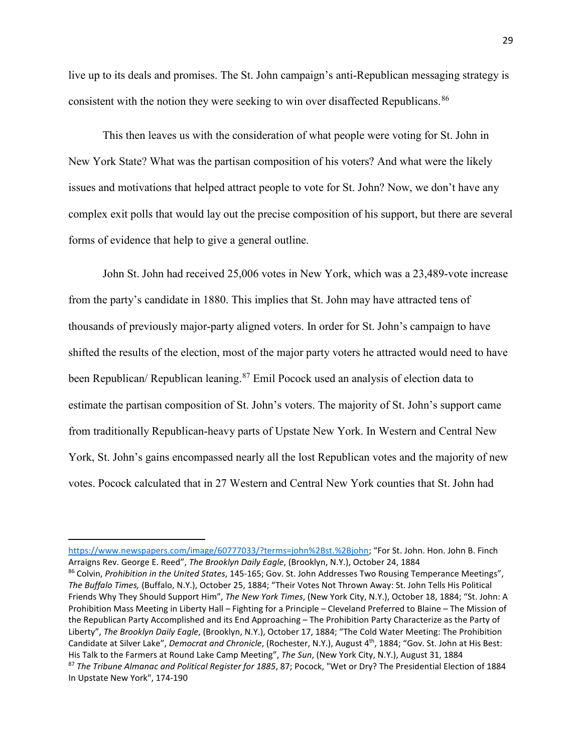live up to its deals and promises. The St. John campaign's anti-Republican messaging strategy is consistent with the notion they were seeking to win over disaffected Republicans.<sup>86</sup>

This then leaves us with the consideration of what people were voting for St. John in New York State? What was the partisan composition of his voters? And what were the likely issues and motivations that helped attract people to vote for St. John? Now, we don't have any complex exit polls that would lay out the precise composition of his support, but there are several forms of evidence that help to give a general outline.

John St. John had received 25,006 votes in New York, which was a 23,489-vote increase from the party's candidate in 1880. This implies that St. John may have attracted tens of thousands of previously major-party aligned voters. In order for St. John's campaign to have shifted the results of the election, most of the major party voters he attracted would need to have been Republican/ Republican leaning.<sup>[87](#page-28-1)</sup> Emil Pocock used an analysis of election data to estimate the partisan composition of St. John's voters. The majority of St. John's support came from traditionally Republican-heavy parts of Upstate New York. In Western and Central New York, St. John's gains encompassed nearly all the lost Republican votes and the majority of new votes. Pocock calculated that in 27 Western and Central New York counties that St. John had

l

<span id="page-28-1"></span><span id="page-28-0"></span><sup>86</sup> Colvin, *Prohibition in the United States*, 145-165; Gov. St. John Addresses Two Rousing Temperance Meetings", *The Buffalo Times,* (Buffalo, N.Y.), October 25, 1884; "Their Votes Not Thrown Away: St. John Tells His Political Friends Why They Should Support Him", *The New York Times*, (New York City, N.Y.), October 18, 1884; "St. John: A Prohibition Mass Meeting in Liberty Hall – Fighting for a Principle – Cleveland Preferred to Blaine – The Mission of the Republican Party Accomplished and its End Approaching – The Prohibition Party Characterize as the Party of Liberty", *The Brooklyn Daily Eagle*, (Brooklyn, N.Y.), October 17, 1884; "The Cold Water Meeting: The Prohibition Candidate at Silver Lake", *Democrat and Chronicle*, (Rochester, N.Y.), August 4th, 1884; "Gov. St. John at His Best: His Talk to the Farmers at Round Lake Camp Meeting", *The Sun*, (New York City, N.Y.), August 31, 1884 <sup>87</sup> *The Tribune Almanac and Political Register for 1885*, 87; Pocock, "Wet or Dry? The Presidential Election of 1884 In Upstate New York", 174-190

[https://www.newspapers.com/image/60777033/?terms=john%2Bst.%2Bjohn;](https://www.newspapers.com/image/60777033/?terms=john%2Bst.%2Bjohn) "For St. John. Hon. John B. Finch Arraigns Rev. George E. Reed", *The Brooklyn Daily Eagle*, (Brooklyn, N.Y.), October 24, 1884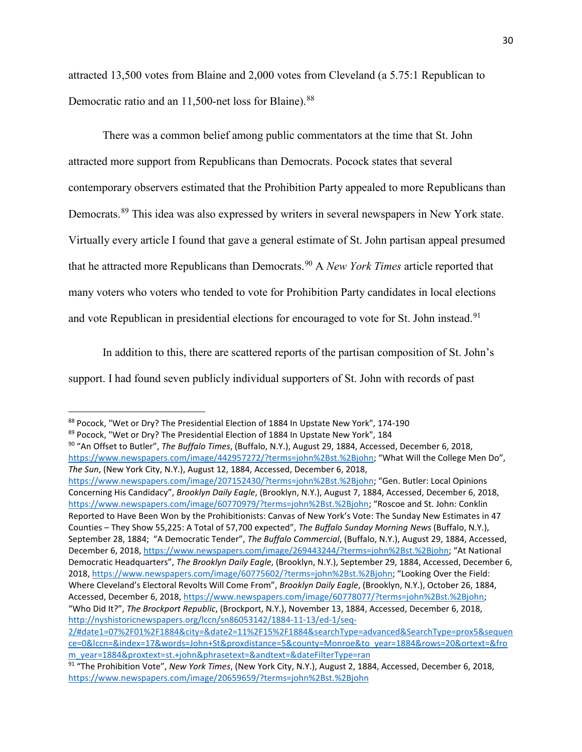attracted 13,500 votes from Blaine and 2,000 votes from Cleveland (a 5.75:1 Republican to Democratic ratio and an 11,500-net loss for Blaine).<sup>[88](#page-29-0)</sup>

There was a common belief among public commentators at the time that St. John attracted more support from Republicans than Democrats. Pocock states that several contemporary observers estimated that the Prohibition Party appealed to more Republicans than Democrats.[89](#page-29-1) This idea was also expressed by writers in several newspapers in New York state. Virtually every article I found that gave a general estimate of St. John partisan appeal presumed that he attracted more Republicans than Democrats.[90](#page-29-2) A *New York Times* article reported that many voters who voters who tended to vote for Prohibition Party candidates in local elections and vote Republican in presidential elections for encouraged to vote for St. John instead.<sup>[91](#page-29-3)</sup>

In addition to this, there are scattered reports of the partisan composition of St. John's support. I had found seven publicly individual supporters of St. John with records of past

<span id="page-29-2"></span><sup>90</sup> "An Offset to Butler", *The Buffalo Times*, (Buffalo, N.Y.), August 29, 1884, Accessed, December 6, 2018, [https://www.newspapers.com/image/442957272/?terms=john%2Bst.%2Bjohn;](https://www.newspapers.com/image/442957272/?terms=john%2Bst.%2Bjohn) "What Will the College Men Do", *The Sun*, (New York City, N.Y.), August 12, 1884, Accessed, December 6, 2018,

[https://www.newspapers.com/image/207152430/?terms=john%2Bst.%2Bjohn;](https://www.newspapers.com/image/207152430/?terms=john%2Bst.%2Bjohn) "Gen. Butler: Local Opinions Concerning His Candidacy", *Brooklyn Daily Eagle*, (Brooklyn, N.Y.), August 7, 1884, Accessed, December 6, 2018, [https://www.newspapers.com/image/60770979/?terms=john%2Bst.%2Bjohn;](https://www.newspapers.com/image/60770979/?terms=john%2Bst.%2Bjohn) "Roscoe and St. John: Conklin Reported to Have Been Won by the Prohibitionists: Canvas of New York's Vote: The Sunday New Estimates in 47 Counties – They Show 55,225: A Total of 57,700 expected", *The Buffalo Sunday Morning News* (Buffalo, N.Y.), September 28, 1884; "A Democratic Tender", *The Buffalo Commercial*, (Buffalo, N.Y.), August 29, 1884, Accessed, December 6, 2018, [https://www.newspapers.com/image/269443244/?terms=john%2Bst.%2Bjohn;](https://www.newspapers.com/image/269443244/?terms=john%2Bst.%2Bjohn) "At National Democratic Headquarters", *The Brooklyn Daily Eagle*, (Brooklyn, N.Y.), September 29, 1884, Accessed, December 6, 2018, [https://www.newspapers.com/image/60775602/?terms=john%2Bst.%2Bjohn;](https://www.newspapers.com/image/60775602/?terms=john%2Bst.%2Bjohn) "Looking Over the Field: Where Cleveland's Electoral Revolts Will Come From", *Brooklyn Daily Eagle*, (Brooklyn, N.Y.), October 26, 1884, Accessed, December 6, 2018, [https://www.newspapers.com/image/60778077/?terms=john%2Bst.%2Bjohn;](https://www.newspapers.com/image/60778077/?terms=john%2Bst.%2Bjohn)  "Who Did It?", *The Brockport Republic*, (Brockport, N.Y.), November 13, 1884, Accessed, December 6, 2018, [http://nyshistoricnewspapers.org/lccn/sn86053142/1884-11-13/ed-1/seq-](http://nyshistoricnewspapers.org/lccn/sn86053142/1884-11-13/ed-1/seq-2/#date1=07%2F01%2F1884&city=&date2=11%2F15%2F1884&searchType=advanced&SearchType=prox5&sequence=0&lccn=&index=17&words=John+St&proxdistance=5&county=Monroe&to_year=1884&rows=20&ortext=&from_year=1884&proxtext=st.+john&phrasetext=&andtext=&dateFilterType=ran)

<span id="page-29-0"></span><sup>88</sup> Pocock, "Wet or Dry? The Presidential Election of 1884 In Upstate New York", 174-190

<span id="page-29-1"></span><sup>89</sup> Pocock, "Wet or Dry? The Presidential Election of 1884 In Upstate New York", 184

[<sup>2/#</sup>date1=07%2F01%2F1884&city=&date2=11%2F15%2F1884&searchType=advanced&SearchType=prox5&sequen](http://nyshistoricnewspapers.org/lccn/sn86053142/1884-11-13/ed-1/seq-2/#date1=07%2F01%2F1884&city=&date2=11%2F15%2F1884&searchType=advanced&SearchType=prox5&sequence=0&lccn=&index=17&words=John+St&proxdistance=5&county=Monroe&to_year=1884&rows=20&ortext=&from_year=1884&proxtext=st.+john&phrasetext=&andtext=&dateFilterType=ran) [ce=0&lccn=&index=17&words=John+St&proxdistance=5&county=Monroe&to\\_year=1884&rows=20&ortext=&fro](http://nyshistoricnewspapers.org/lccn/sn86053142/1884-11-13/ed-1/seq-2/#date1=07%2F01%2F1884&city=&date2=11%2F15%2F1884&searchType=advanced&SearchType=prox5&sequence=0&lccn=&index=17&words=John+St&proxdistance=5&county=Monroe&to_year=1884&rows=20&ortext=&from_year=1884&proxtext=st.+john&phrasetext=&andtext=&dateFilterType=ran) [m\\_year=1884&proxtext=st.+john&phrasetext=&andtext=&dateFilterType=ran](http://nyshistoricnewspapers.org/lccn/sn86053142/1884-11-13/ed-1/seq-2/#date1=07%2F01%2F1884&city=&date2=11%2F15%2F1884&searchType=advanced&SearchType=prox5&sequence=0&lccn=&index=17&words=John+St&proxdistance=5&county=Monroe&to_year=1884&rows=20&ortext=&from_year=1884&proxtext=st.+john&phrasetext=&andtext=&dateFilterType=ran)

<span id="page-29-3"></span><sup>91</sup> "The Prohibition Vote", *New York Times*, (New York City, N.Y.), August 2, 1884, Accessed, December 6, 2018, <https://www.newspapers.com/image/20659659/?terms=john%2Bst.%2Bjohn>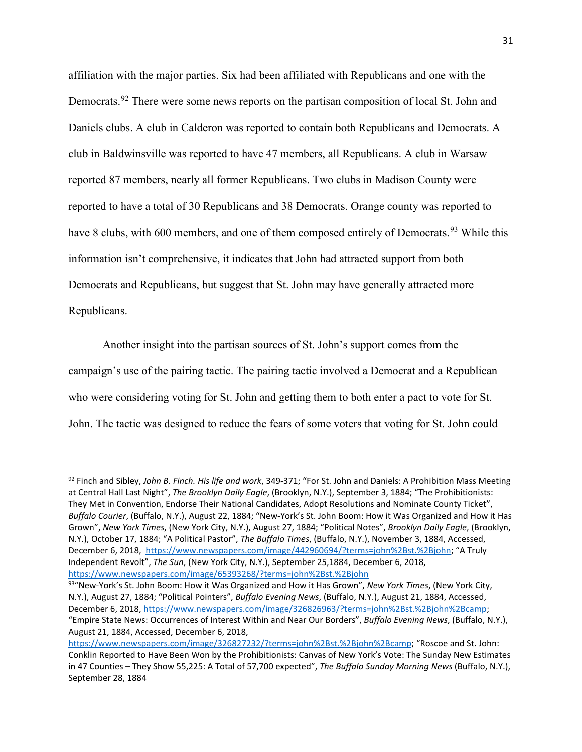affiliation with the major parties. Six had been affiliated with Republicans and one with the Democrats.<sup>[92](#page-30-0)</sup> There were some news reports on the partisan composition of local St. John and Daniels clubs. A club in Calderon was reported to contain both Republicans and Democrats. A club in Baldwinsville was reported to have 47 members, all Republicans. A club in Warsaw reported 87 members, nearly all former Republicans. Two clubs in Madison County were reported to have a total of 30 Republicans and 38 Democrats. Orange county was reported to have 8 clubs, with 600 members, and one of them composed entirely of Democrats.<sup>[93](#page-30-1)</sup> While this information isn't comprehensive, it indicates that John had attracted support from both Democrats and Republicans, but suggest that St. John may have generally attracted more Republicans.

Another insight into the partisan sources of St. John's support comes from the campaign's use of the pairing tactic. The pairing tactic involved a Democrat and a Republican who were considering voting for St. John and getting them to both enter a pact to vote for St. John. The tactic was designed to reduce the fears of some voters that voting for St. John could

<span id="page-30-0"></span> <sup>92</sup> Finch and Sibley, *John B. Finch. His life and work*, 349-371; "For St. John and Daniels: A Prohibition Mass Meeting at Central Hall Last Night", *The Brooklyn Daily Eagle*, (Brooklyn, N.Y.), September 3, 1884; "The Prohibitionists: They Met in Convention, Endorse Their National Candidates, Adopt Resolutions and Nominate County Ticket", *Buffalo Courier*, (Buffalo, N.Y.), August 22, 1884; "New-York's St. John Boom: How it Was Organized and How it Has Grown", *New York Times*, (New York City, N.Y.), August 27, 1884; "Political Notes", *Brooklyn Daily Eagle*, (Brooklyn, N.Y.), October 17, 1884; "A Political Pastor", *The Buffalo Times*, (Buffalo, N.Y.), November 3, 1884, Accessed, December 6, 2018, [https://www.newspapers.com/image/442960694/?terms=john%2Bst.%2Bjohn;](https://www.newspapers.com/image/442960694/?terms=john%2Bst.%2Bjohn) "A Truly Independent Revolt", *The Sun*, (New York City, N.Y.), September 25,1884, December 6, 2018, <https://www.newspapers.com/image/65393268/?terms=john%2Bst.%2Bjohn>

<span id="page-30-1"></span><sup>93&</sup>quot;New-York's St. John Boom: How it Was Organized and How it Has Grown", *New York Times*, (New York City, N.Y.), August 27, 1884; "Political Pointers", *Buffalo Evening News*, (Buffalo, N.Y.), August 21, 1884, Accessed, December 6, 2018, [https://www.newspapers.com/image/326826963/?terms=john%2Bst.%2Bjohn%2Bcamp;](https://www.newspapers.com/image/326826963/?terms=john%2Bst.%2Bjohn%2Bcamp)  "Empire State News: Occurrences of Interest Within and Near Our Borders", *Buffalo Evening News*, (Buffalo, N.Y.), August 21, 1884, Accessed, December 6, 2018,

[https://www.newspapers.com/image/326827232/?terms=john%2Bst.%2Bjohn%2Bcamp;](https://www.newspapers.com/image/326827232/?terms=john%2Bst.%2Bjohn%2Bcamp) "Roscoe and St. John: Conklin Reported to Have Been Won by the Prohibitionists: Canvas of New York's Vote: The Sunday New Estimates in 47 Counties – They Show 55,225: A Total of 57,700 expected", *The Buffalo Sunday Morning News* (Buffalo, N.Y.), September 28, 1884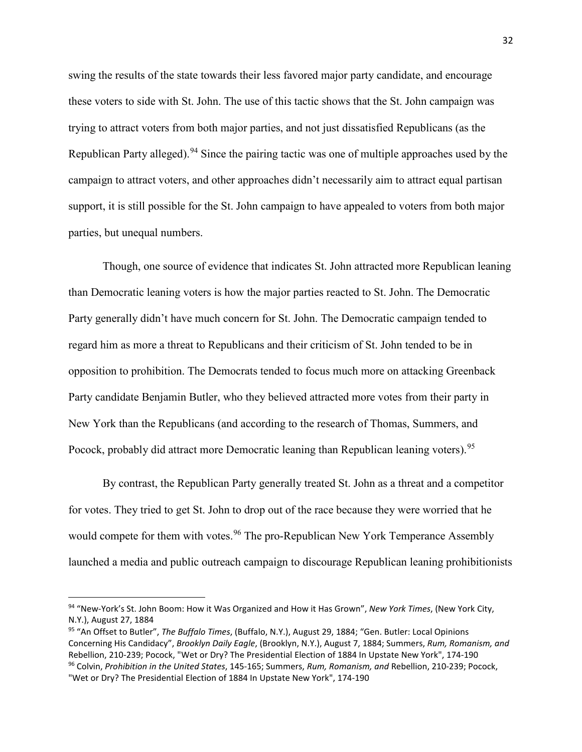swing the results of the state towards their less favored major party candidate, and encourage these voters to side with St. John. The use of this tactic shows that the St. John campaign was trying to attract voters from both major parties, and not just dissatisfied Republicans (as the Republican Party alleged).<sup>[94](#page-31-0)</sup> Since the pairing tactic was one of multiple approaches used by the campaign to attract voters, and other approaches didn't necessarily aim to attract equal partisan support, it is still possible for the St. John campaign to have appealed to voters from both major parties, but unequal numbers.

Though, one source of evidence that indicates St. John attracted more Republican leaning than Democratic leaning voters is how the major parties reacted to St. John. The Democratic Party generally didn't have much concern for St. John. The Democratic campaign tended to regard him as more a threat to Republicans and their criticism of St. John tended to be in opposition to prohibition. The Democrats tended to focus much more on attacking Greenback Party candidate Benjamin Butler, who they believed attracted more votes from their party in New York than the Republicans (and according to the research of Thomas, Summers, and Pocock, probably did attract more Democratic leaning than Republican leaning voters).<sup>[95](#page-31-1)</sup>

By contrast, the Republican Party generally treated St. John as a threat and a competitor for votes. They tried to get St. John to drop out of the race because they were worried that he would compete for them with votes.<sup>[96](#page-31-2)</sup> The pro-Republican New York Temperance Assembly launched a media and public outreach campaign to discourage Republican leaning prohibitionists

<span id="page-31-0"></span> <sup>94</sup> "New-York's St. John Boom: How it Was Organized and How it Has Grown", *New York Times*, (New York City, N.Y.), August 27, 1884

<span id="page-31-2"></span><span id="page-31-1"></span><sup>95</sup> "An Offset to Butler", *The Buffalo Times*, (Buffalo, N.Y.), August 29, 1884; "Gen. Butler: Local Opinions Concerning His Candidacy", *Brooklyn Daily Eagle*, (Brooklyn, N.Y.), August 7, 1884; Summers, *Rum, Romanism, and*  Rebellion, 210-239; Pocock, "Wet or Dry? The Presidential Election of 1884 In Upstate New York", 174-190 <sup>96</sup> Colvin, *Prohibition in the United States*, 145-165; Summers, *Rum, Romanism, and* Rebellion, 210-239; Pocock, "Wet or Dry? The Presidential Election of 1884 In Upstate New York", 174-190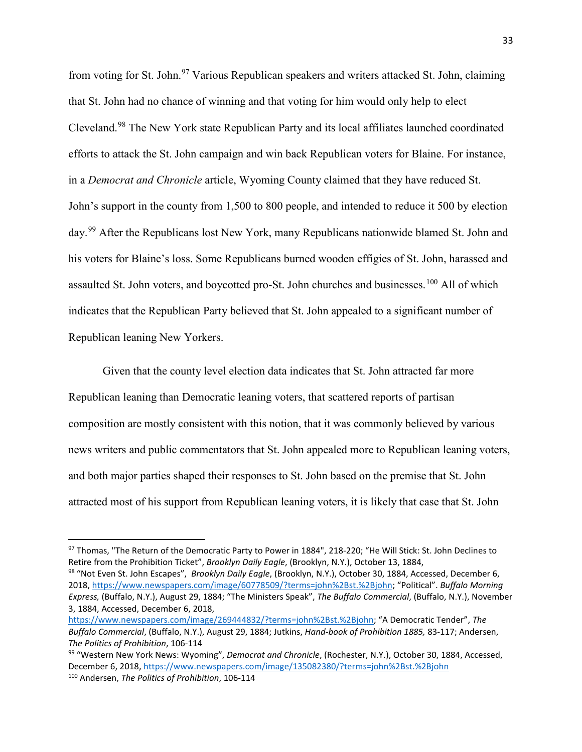from voting for St. John.<sup>[97](#page-32-0)</sup> Various Republican speakers and writers attacked St. John, claiming that St. John had no chance of winning and that voting for him would only help to elect Cleveland.[98](#page-32-1) The New York state Republican Party and its local affiliates launched coordinated efforts to attack the St. John campaign and win back Republican voters for Blaine. For instance, in a *Democrat and Chronicle* article, Wyoming County claimed that they have reduced St. John's support in the county from 1,500 to 800 people, and intended to reduce it 500 by election day.<sup>[99](#page-32-2)</sup> After the Republicans lost New York, many Republicans nationwide blamed St. John and his voters for Blaine's loss. Some Republicans burned wooden effigies of St. John, harassed and assaulted St. John voters, and boycotted pro-St. John churches and businesses.<sup>[100](#page-32-3)</sup> All of which indicates that the Republican Party believed that St. John appealed to a significant number of Republican leaning New Yorkers.

Given that the county level election data indicates that St. John attracted far more Republican leaning than Democratic leaning voters, that scattered reports of partisan composition are mostly consistent with this notion, that it was commonly believed by various news writers and public commentators that St. John appealed more to Republican leaning voters, and both major parties shaped their responses to St. John based on the premise that St. John attracted most of his support from Republican leaning voters, it is likely that case that St. John

<span id="page-32-1"></span><sup>98</sup> "Not Even St. John Escapes", *Brooklyn Daily Eagle*, (Brooklyn, N.Y.), October 30, 1884, Accessed, December 6, 2018, [https://www.newspapers.com/image/60778509/?terms=john%2Bst.%2Bjohn;](https://www.newspapers.com/image/60778509/?terms=john%2Bst.%2Bjohn) "Political". *Buffalo Morning Express,* (Buffalo, N.Y.), August 29, 1884; "The Ministers Speak", *The Buffalo Commercial*, (Buffalo, N.Y.), November 3, 1884, Accessed, December 6, 2018,

<span id="page-32-0"></span><sup>97</sup> Thomas, "The Return of the Democratic Party to Power in 1884", 218-220; "He Will Stick: St. John Declines to Retire from the Prohibition Ticket", *Brooklyn Daily Eagle*, (Brooklyn, N.Y.), October 13, 1884,

[https://www.newspapers.com/image/269444832/?terms=john%2Bst.%2Bjohn;](https://www.newspapers.com/image/269444832/?terms=john%2Bst.%2Bjohn) "A Democratic Tender", *The Buffalo Commercial*, (Buffalo, N.Y.), August 29, 1884; Jutkins, *Hand-book of Prohibition 1885,* 83-117; Andersen, *The Politics of Prohibition*, 106-114

<span id="page-32-3"></span><span id="page-32-2"></span><sup>99</sup> "Western New York News: Wyoming", *Democrat and Chronicle*, (Rochester, N.Y.), October 30, 1884, Accessed, December 6, 2018, <https://www.newspapers.com/image/135082380/?terms=john%2Bst.%2Bjohn>100 Andersen, *The Politics of Prohibition*, 106-114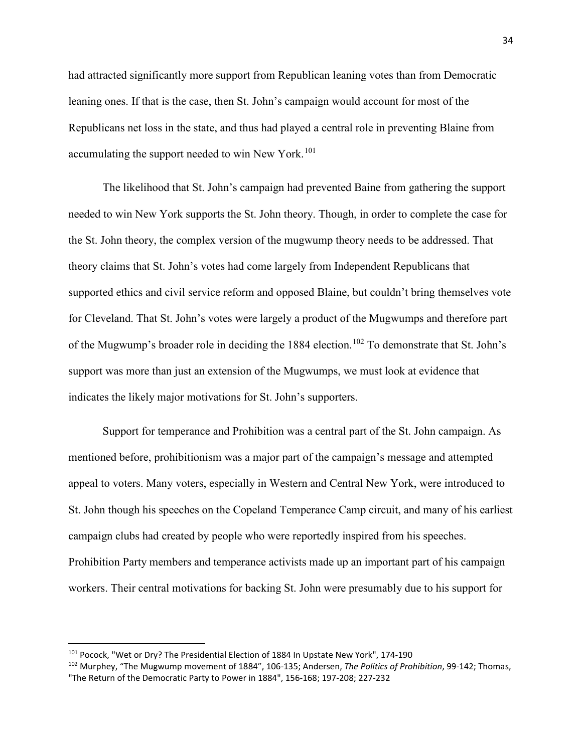had attracted significantly more support from Republican leaning votes than from Democratic leaning ones. If that is the case, then St. John's campaign would account for most of the Republicans net loss in the state, and thus had played a central role in preventing Blaine from accumulating the support needed to win New York.<sup>[101](#page-33-0)</sup>

The likelihood that St. John's campaign had prevented Baine from gathering the support needed to win New York supports the St. John theory. Though, in order to complete the case for the St. John theory, the complex version of the mugwump theory needs to be addressed. That theory claims that St. John's votes had come largely from Independent Republicans that supported ethics and civil service reform and opposed Blaine, but couldn't bring themselves vote for Cleveland. That St. John's votes were largely a product of the Mugwumps and therefore part of the Mugwump's broader role in deciding the 1884 election.<sup>[102](#page-33-1)</sup> To demonstrate that St. John's support was more than just an extension of the Mugwumps, we must look at evidence that indicates the likely major motivations for St. John's supporters.

Support for temperance and Prohibition was a central part of the St. John campaign. As mentioned before, prohibitionism was a major part of the campaign's message and attempted appeal to voters. Many voters, especially in Western and Central New York, were introduced to St. John though his speeches on the Copeland Temperance Camp circuit, and many of his earliest campaign clubs had created by people who were reportedly inspired from his speeches. Prohibition Party members and temperance activists made up an important part of his campaign workers. Their central motivations for backing St. John were presumably due to his support for

<span id="page-33-0"></span> <sup>101</sup> Pocock, "Wet or Dry? The Presidential Election of 1884 In Upstate New York", 174-190

<span id="page-33-1"></span><sup>102</sup> Murphey, "The Mugwump movement of 1884", 106-135; Andersen, *The Politics of Prohibition*, 99-142; Thomas, "The Return of the Democratic Party to Power in 1884", 156-168; 197-208; 227-232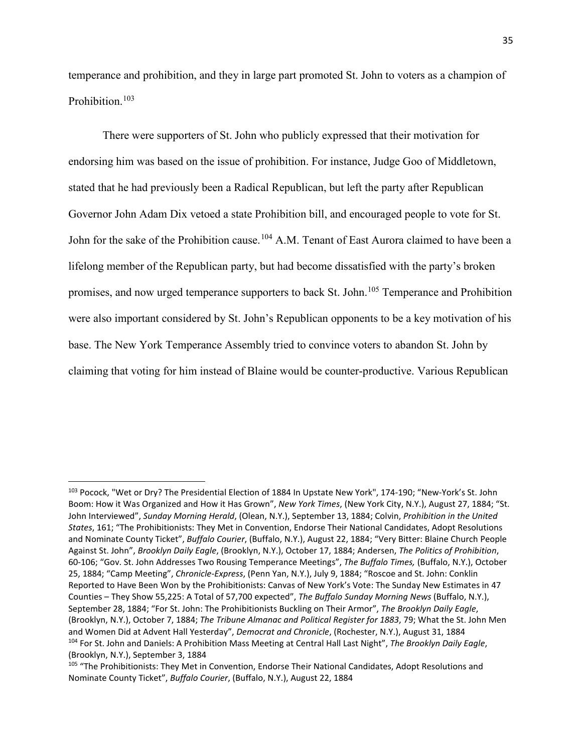temperance and prohibition, and they in large part promoted St. John to voters as a champion of Prohibition.<sup>[103](#page-34-0)</sup>

There were supporters of St. John who publicly expressed that their motivation for endorsing him was based on the issue of prohibition. For instance, Judge Goo of Middletown, stated that he had previously been a Radical Republican, but left the party after Republican Governor John Adam Dix vetoed a state Prohibition bill, and encouraged people to vote for St. John for the sake of the Prohibition cause.<sup>[104](#page-34-1)</sup> A.M. Tenant of East Aurora claimed to have been a lifelong member of the Republican party, but had become dissatisfied with the party's broken promises, and now urged temperance supporters to back St. John.<sup>[105](#page-34-2)</sup> Temperance and Prohibition were also important considered by St. John's Republican opponents to be a key motivation of his base. The New York Temperance Assembly tried to convince voters to abandon St. John by claiming that voting for him instead of Blaine would be counter-productive. Various Republican

<span id="page-34-0"></span> <sup>103</sup> Pocock, "Wet or Dry? The Presidential Election of 1884 In Upstate New York", 174-190; "New-York's St. John Boom: How it Was Organized and How it Has Grown", *New York Times*, (New York City, N.Y.), August 27, 1884; "St. John Interviewed", *Sunday Morning Herald*, (Olean, N.Y.), September 13, 1884; Colvin, *Prohibition in the United States*, 161; "The Prohibitionists: They Met in Convention, Endorse Their National Candidates, Adopt Resolutions and Nominate County Ticket", *Buffalo Courier*, (Buffalo, N.Y.), August 22, 1884; "Very Bitter: Blaine Church People Against St. John", *Brooklyn Daily Eagle*, (Brooklyn, N.Y.), October 17, 1884; Andersen, *The Politics of Prohibition*, 60-106; "Gov. St. John Addresses Two Rousing Temperance Meetings", *The Buffalo Times,* (Buffalo, N.Y.), October 25, 1884; "Camp Meeting", *Chronicle-Express*, (Penn Yan, N.Y.), July 9, 1884; "Roscoe and St. John: Conklin Reported to Have Been Won by the Prohibitionists: Canvas of New York's Vote: The Sunday New Estimates in 47 Counties – They Show 55,225: A Total of 57,700 expected", *The Buffalo Sunday Morning News* (Buffalo, N.Y.), September 28, 1884; "For St. John: The Prohibitionists Buckling on Their Armor", *The Brooklyn Daily Eagle*, (Brooklyn, N.Y.), October 7, 1884; *The Tribune Almanac and Political Register for 1883*, 79; What the St. John Men and Women Did at Advent Hall Yesterday", *Democrat and Chronicle*, (Rochester, N.Y.), August 31, 1884 <sup>104</sup> For St. John and Daniels: A Prohibition Mass Meeting at Central Hall Last Night", *The Brooklyn Daily Eagle*, (Brooklyn, N.Y.), September 3, 1884

<span id="page-34-2"></span><span id="page-34-1"></span><sup>&</sup>lt;sup>105</sup> "The Prohibitionists: They Met in Convention, Endorse Their National Candidates, Adopt Resolutions and Nominate County Ticket", *Buffalo Courier*, (Buffalo, N.Y.), August 22, 1884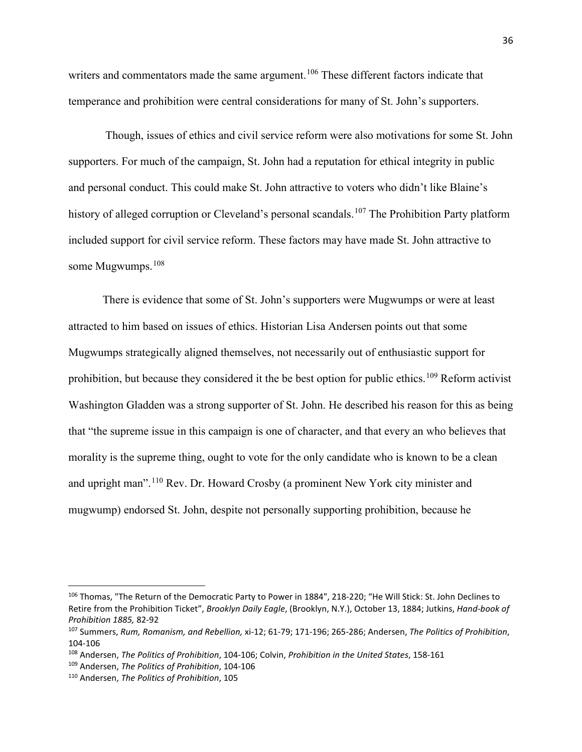writers and commentators made the same argument.<sup>[106](#page-35-0)</sup> These different factors indicate that temperance and prohibition were central considerations for many of St. John's supporters.

Though, issues of ethics and civil service reform were also motivations for some St. John supporters. For much of the campaign, St. John had a reputation for ethical integrity in public and personal conduct. This could make St. John attractive to voters who didn't like Blaine's history of alleged corruption or Cleveland's personal scandals.<sup>[107](#page-35-1)</sup> The Prohibition Party platform included support for civil service reform. These factors may have made St. John attractive to some Mugwumps. [108](#page-35-2)

There is evidence that some of St. John's supporters were Mugwumps or were at least attracted to him based on issues of ethics. Historian Lisa Andersen points out that some Mugwumps strategically aligned themselves, not necessarily out of enthusiastic support for prohibition, but because they considered it the be best option for public ethics.<sup>[109](#page-35-3)</sup> Reform activist Washington Gladden was a strong supporter of St. John. He described his reason for this as being that "the supreme issue in this campaign is one of character, and that every an who believes that morality is the supreme thing, ought to vote for the only candidate who is known to be a clean and upright man".[110](#page-35-4) Rev. Dr. Howard Crosby (a prominent New York city minister and mugwump) endorsed St. John, despite not personally supporting prohibition, because he

<span id="page-35-0"></span> <sup>106</sup> Thomas, "The Return of the Democratic Party to Power in 1884", 218-220; "He Will Stick: St. John Declines to Retire from the Prohibition Ticket", *Brooklyn Daily Eagle*, (Brooklyn, N.Y.), October 13, 1884; Jutkins, *Hand-book of Prohibition 1885,* 82-92

<span id="page-35-1"></span><sup>107</sup> Summers, *Rum, Romanism, and Rebellion,* xi-12; 61-79; 171-196; 265-286; Andersen, *The Politics of Prohibition*, 104-106

<span id="page-35-2"></span><sup>108</sup> Andersen, *The Politics of Prohibition*, 104-106; Colvin, *Prohibition in the United States*, 158-161

<span id="page-35-3"></span><sup>109</sup> Andersen, *The Politics of Prohibition*, 104-106

<span id="page-35-4"></span><sup>110</sup> Andersen, *The Politics of Prohibition*, 105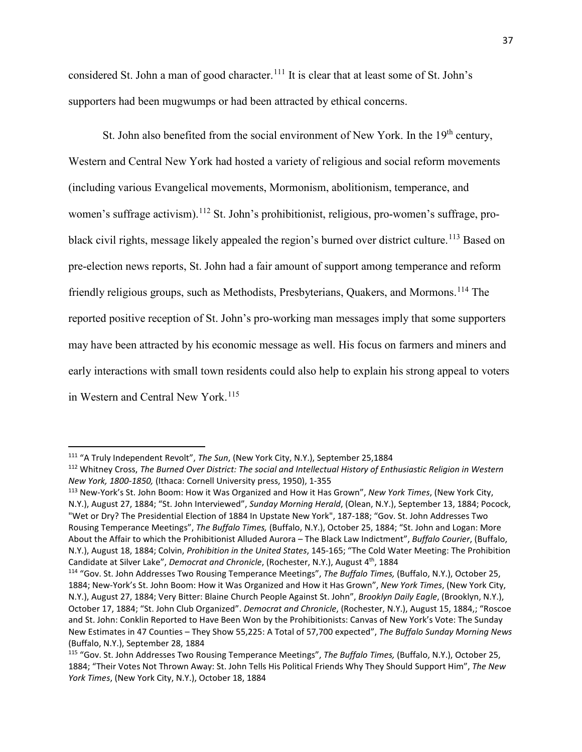considered St. John a man of good character.<sup>[111](#page-36-0)</sup> It is clear that at least some of St. John's supporters had been mugwumps or had been attracted by ethical concerns.

St. John also benefited from the social environment of New York. In the  $19<sup>th</sup>$  century, Western and Central New York had hosted a variety of religious and social reform movements (including various Evangelical movements, Mormonism, abolitionism, temperance, and women's suffrage activism).<sup>[112](#page-36-1)</sup> St. John's prohibitionist, religious, pro-women's suffrage, pro-black civil rights, message likely appealed the region's burned over district culture.<sup>[113](#page-36-2)</sup> Based on pre-election news reports, St. John had a fair amount of support among temperance and reform friendly religious groups, such as Methodists, Presbyterians, Quakers, and Mormons.<sup>[114](#page-36-3)</sup> The reported positive reception of St. John's pro-working man messages imply that some supporters may have been attracted by his economic message as well. His focus on farmers and miners and early interactions with small town residents could also help to explain his strong appeal to voters in Western and Central New York.<sup>[115](#page-36-4)</sup>

<span id="page-36-0"></span> <sup>111</sup> "A Truly Independent Revolt", *The Sun*, (New York City, N.Y.), September 25,1884

<span id="page-36-1"></span><sup>112</sup> Whitney Cross, *The Burned Over District: The social and Intellectual History of Enthusiastic Religion in Western New York, 1800-1850,* (Ithaca: Cornell University press, 1950), 1-355

<span id="page-36-2"></span><sup>113</sup> New-York's St. John Boom: How it Was Organized and How it Has Grown", *New York Times*, (New York City, N.Y.), August 27, 1884; "St. John Interviewed", *Sunday Morning Herald*, (Olean, N.Y.), September 13, 1884; Pocock, "Wet or Dry? The Presidential Election of 1884 In Upstate New York", 187-188; "Gov. St. John Addresses Two Rousing Temperance Meetings", *The Buffalo Times,* (Buffalo, N.Y.), October 25, 1884; "St. John and Logan: More About the Affair to which the Prohibitionist Alluded Aurora – The Black Law Indictment", *Buffalo Courier*, (Buffalo, N.Y.), August 18, 1884; Colvin, *Prohibition in the United States*, 145-165; "The Cold Water Meeting: The Prohibition Candidate at Silver Lake", *Democrat and Chronicle*, (Rochester, N.Y.), August 4th, 1884

<span id="page-36-3"></span><sup>114</sup> "Gov. St. John Addresses Two Rousing Temperance Meetings", *The Buffalo Times,* (Buffalo, N.Y.), October 25, 1884; New-York's St. John Boom: How it Was Organized and How it Has Grown", *New York Times*, (New York City, N.Y.), August 27, 1884; Very Bitter: Blaine Church People Against St. John", *Brooklyn Daily Eagle*, (Brooklyn, N.Y.), October 17, 1884; "St. John Club Organized". *Democrat and Chronicle*, (Rochester, N.Y.), August 15, 1884,; "Roscoe and St. John: Conklin Reported to Have Been Won by the Prohibitionists: Canvas of New York's Vote: The Sunday New Estimates in 47 Counties – They Show 55,225: A Total of 57,700 expected", *The Buffalo Sunday Morning News*  (Buffalo, N.Y.), September 28, 1884

<span id="page-36-4"></span><sup>115</sup> "Gov. St. John Addresses Two Rousing Temperance Meetings", *The Buffalo Times,* (Buffalo, N.Y.), October 25, 1884; "Their Votes Not Thrown Away: St. John Tells His Political Friends Why They Should Support Him", *The New York Times*, (New York City, N.Y.), October 18, 1884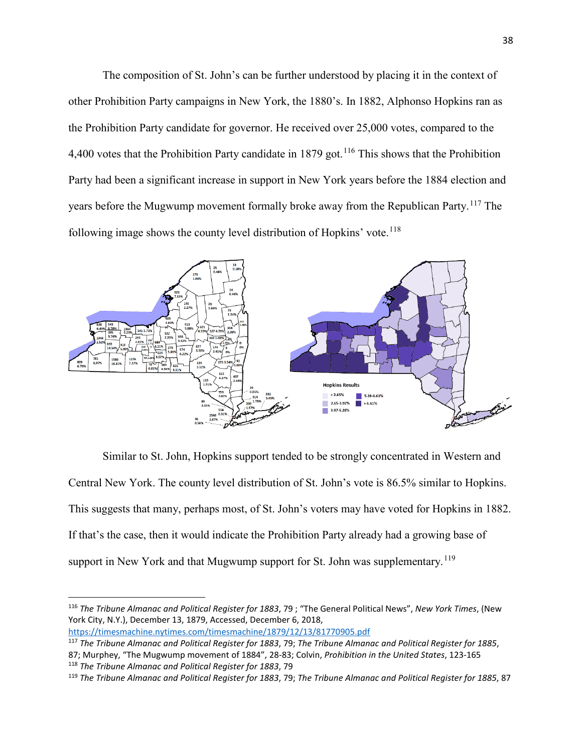The composition of St. John's can be further understood by placing it in the context of other Prohibition Party campaigns in New York, the 1880's. In 1882, Alphonso Hopkins ran as the Prohibition Party candidate for governor. He received over 25,000 votes, compared to the 4,400 votes that the Prohibition Party candidate in 1879 got.<sup>[116](#page-37-0)</sup> This shows that the Prohibition Party had been a significant increase in support in New York years before the 1884 election and years before the Mugwump movement formally broke away from the Republican Party.<sup>[117](#page-37-1)</sup> The following image shows the county level distribution of Hopkins' vote.<sup>[118](#page-37-2)</sup>



Similar to St. John, Hopkins support tended to be strongly concentrated in Western and Central New York. The county level distribution of St. John's vote is 86.5% similar to Hopkins. This suggests that many, perhaps most, of St. John's voters may have voted for Hopkins in 1882. If that's the case, then it would indicate the Prohibition Party already had a growing base of support in New York and that Mugwump support for St. John was supplementary.<sup>[119](#page-37-3)</sup>

<span id="page-37-0"></span> <sup>116</sup> *The Tribune Almanac and Political Register for 1883*, 79 ; "The General Political News", *New York Times*, (New York City, N.Y.), December 13, 1879, Accessed, December 6, 2018, <https://timesmachine.nytimes.com/timesmachine/1879/12/13/81770905.pdf>

<span id="page-37-1"></span><sup>117</sup> *The Tribune Almanac and Political Register for 1883*, 79; *The Tribune Almanac and Political Register for 1885*, 87; Murphey, "The Mugwump movement of 1884", 28-83; Colvin, *Prohibition in the United States*, 123-165 <sup>118</sup> *The Tribune Almanac and Political Register for 1883*, 79

<span id="page-37-3"></span><span id="page-37-2"></span><sup>119</sup> *The Tribune Almanac and Political Register for 1883*, 79; *The Tribune Almanac and Political Register for 1885*, 87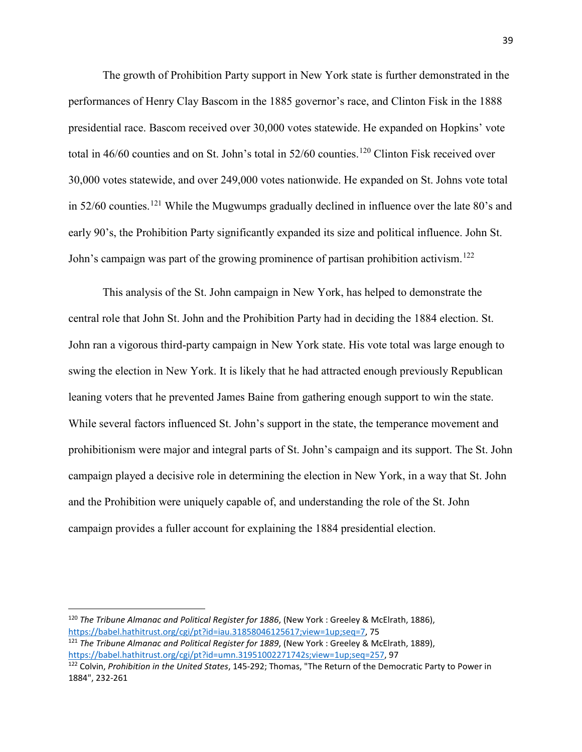The growth of Prohibition Party support in New York state is further demonstrated in the performances of Henry Clay Bascom in the 1885 governor's race, and Clinton Fisk in the 1888 presidential race. Bascom received over 30,000 votes statewide. He expanded on Hopkins' vote total in  $46/60$  counties and on St. John's total in  $52/60$  counties.<sup>[120](#page-38-0)</sup> Clinton Fisk received over 30,000 votes statewide, and over 249,000 votes nationwide. He expanded on St. Johns vote total in 52/60 counties.<sup>[121](#page-38-1)</sup> While the Mugwumps gradually declined in influence over the late 80's and early 90's, the Prohibition Party significantly expanded its size and political influence. John St. John's campaign was part of the growing prominence of partisan prohibition activism.<sup>[122](#page-38-2)</sup>

This analysis of the St. John campaign in New York, has helped to demonstrate the central role that John St. John and the Prohibition Party had in deciding the 1884 election. St. John ran a vigorous third-party campaign in New York state. His vote total was large enough to swing the election in New York. It is likely that he had attracted enough previously Republican leaning voters that he prevented James Baine from gathering enough support to win the state. While several factors influenced St. John's support in the state, the temperance movement and prohibitionism were major and integral parts of St. John's campaign and its support. The St. John campaign played a decisive role in determining the election in New York, in a way that St. John and the Prohibition were uniquely capable of, and understanding the role of the St. John campaign provides a fuller account for explaining the 1884 presidential election.

<span id="page-38-0"></span> <sup>120</sup> *The Tribune Almanac and Political Register for 1886*, (New York : Greeley & McElrath, 1886), [https://babel.hathitrust.org/cgi/pt?id=iau.31858046125617;view=1up;seq=7,](https://babel.hathitrust.org/cgi/pt?id=iau.31858046125617;view=1up;seq=7) 75

<span id="page-38-1"></span><sup>121</sup> *The Tribune Almanac and Political Register for 1889*, (New York : Greeley & McElrath, 1889), [https://babel.hathitrust.org/cgi/pt?id=umn.31951002271742s;view=1up;seq=257,](https://babel.hathitrust.org/cgi/pt?id=umn.31951002271742s;view=1up;seq=257) 97

<span id="page-38-2"></span><sup>122</sup> Colvin, *Prohibition in the United States*, 145-292; Thomas, "The Return of the Democratic Party to Power in 1884", 232-261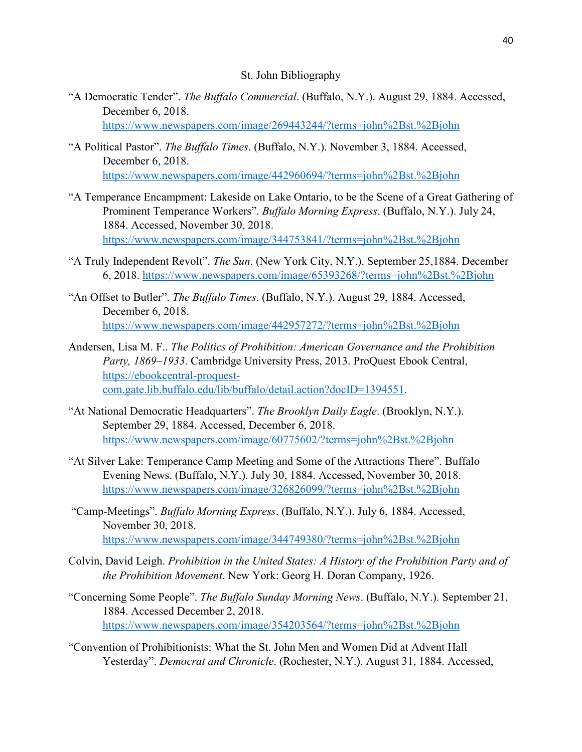## St. John Bibliography

"A Democratic Tender". *The Buffalo Commercial*. (Buffalo, N.Y.). August 29, 1884. Accessed, December 6, 2018.

<https://www.newspapers.com/image/269443244/?terms=john%2Bst.%2Bjohn>

- "A Political Pastor". *The Buffalo Times*. (Buffalo, N.Y.). November 3, 1884. Accessed, December 6, 2018. <https://www.newspapers.com/image/442960694/?terms=john%2Bst.%2Bjohn>
- "A Temperance Encampment: Lakeside on Lake Ontario, to be the Scene of a Great Gathering of Prominent Temperance Workers". *Buffalo Morning Express*. (Buffalo, N.Y.). July 24, 1884. Accessed, November 30, 2018. <https://www.newspapers.com/image/344753841/?terms=john%2Bst.%2Bjohn>
- "A Truly Independent Revolt". *The Sun*. (New York City, N.Y.). September 25,1884. December 6, 2018.<https://www.newspapers.com/image/65393268/?terms=john%2Bst.%2Bjohn>
- "An Offset to Butler". *The Buffalo Times*. (Buffalo, N.Y.). August 29, 1884. Accessed, December 6, 2018. <https://www.newspapers.com/image/442957272/?terms=john%2Bst.%2Bjohn>
- Andersen, Lisa M. F.. *The Politics of Prohibition: American Governance and the Prohibition Party, 1869–1933*. Cambridge University Press, 2013. ProQuest Ebook Central, [https://ebookcentral-proquest](https://ebookcentral-proquest-com.gate.lib.buffalo.edu/lib/buffalo/detail.action?docID=1394551)[com.gate.lib.buffalo.edu/lib/buffalo/detail.action?docID=1394551.](https://ebookcentral-proquest-com.gate.lib.buffalo.edu/lib/buffalo/detail.action?docID=1394551)
- "At National Democratic Headquarters". *The Brooklyn Daily Eagle*. (Brooklyn, N.Y.). September 29, 1884. Accessed, December 6, 2018. <https://www.newspapers.com/image/60775602/?terms=john%2Bst.%2Bjohn>
- "At Silver Lake: Temperance Camp Meeting and Some of the Attractions There". Buffalo Evening News. (Buffalo, N.Y.). July 30, 1884. Accessed, November 30, 2018. <https://www.newspapers.com/image/326826099/?terms=john%2Bst.%2Bjohn>
- "Camp-Meetings". *Buffalo Morning Express*. (Buffalo, N.Y.). July 6, 1884. Accessed, November 30, 2018. <https://www.newspapers.com/image/344749380/?terms=john%2Bst.%2Bjohn>
- Colvin, David Leigh. *Prohibition in the United States: A History of the Prohibition Party and of the Prohibition Movement*. New York: Georg H. Doran Company, 1926.
- "Concerning Some People". *The Buffalo Sunday Morning News*. (Buffalo, N.Y.). September 21, 1884. Accessed December 2, 2018. <https://www.newspapers.com/image/354203564/?terms=john%2Bst.%2Bjohn>
- "Convention of Prohibitionists: What the St. John Men and Women Did at Advent Hall Yesterday". *Democrat and Chronicle*. (Rochester, N.Y.). August 31, 1884. Accessed,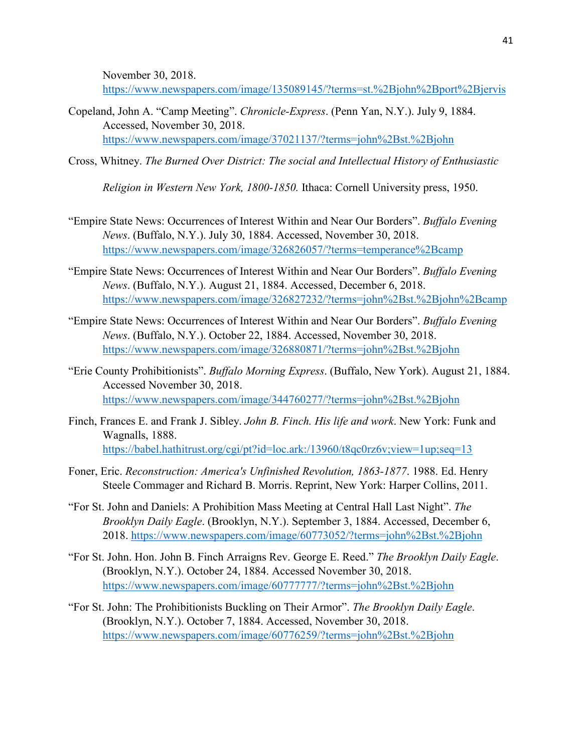November 30, 2018.

<https://www.newspapers.com/image/135089145/?terms=st.%2Bjohn%2Bport%2Bjervis>

- Copeland, John A. "Camp Meeting". *Chronicle-Express*. (Penn Yan, N.Y.). July 9, 1884. Accessed, November 30, 2018. <https://www.newspapers.com/image/37021137/?terms=john%2Bst.%2Bjohn>
- Cross, Whitney. *The Burned Over District: The social and Intellectual History of Enthusiastic*

*Religion in Western New York, 1800-1850.* Ithaca: Cornell University press, 1950.

- "Empire State News: Occurrences of Interest Within and Near Our Borders". *Buffalo Evening News*. (Buffalo, N.Y.). July 30, 1884. Accessed, November 30, 2018. <https://www.newspapers.com/image/326826057/?terms=temperance%2Bcamp>
- "Empire State News: Occurrences of Interest Within and Near Our Borders". *Buffalo Evening News*. (Buffalo, N.Y.). August 21, 1884. Accessed, December 6, 2018. <https://www.newspapers.com/image/326827232/?terms=john%2Bst.%2Bjohn%2Bcamp>
- "Empire State News: Occurrences of Interest Within and Near Our Borders". *Buffalo Evening News*. (Buffalo, N.Y.). October 22, 1884. Accessed, November 30, 2018. <https://www.newspapers.com/image/326880871/?terms=john%2Bst.%2Bjohn>
- "Erie County Prohibitionists". *Buffalo Morning Express*. (Buffalo, New York). August 21, 1884. Accessed November 30, 2018. <https://www.newspapers.com/image/344760277/?terms=john%2Bst.%2Bjohn>
- Finch, Frances E. and Frank J. Sibley. *John B. Finch. His life and work*. New York: Funk and Wagnalls, 1888. <https://babel.hathitrust.org/cgi/pt?id=loc.ark:/13960/t8qc0rz6v;view=1up;seq=13>
- Foner, Eric. *Reconstruction: America's Unfinished Revolution, 1863-1877*. 1988. Ed. Henry Steele Commager and Richard B. Morris. Reprint, New York: Harper Collins, 2011.
- "For St. John and Daniels: A Prohibition Mass Meeting at Central Hall Last Night". *The Brooklyn Daily Eagle*. (Brooklyn, N.Y.). September 3, 1884. Accessed, December 6, 2018.<https://www.newspapers.com/image/60773052/?terms=john%2Bst.%2Bjohn>
- "For St. John. Hon. John B. Finch Arraigns Rev. George E. Reed." *The Brooklyn Daily Eagle*. (Brooklyn, N.Y.). October 24, 1884. Accessed November 30, 2018. <https://www.newspapers.com/image/60777777/?terms=john%2Bst.%2Bjohn>
- "For St. John: The Prohibitionists Buckling on Their Armor". *The Brooklyn Daily Eagle*. (Brooklyn, N.Y.). October 7, 1884. Accessed, November 30, 2018. <https://www.newspapers.com/image/60776259/?terms=john%2Bst.%2Bjohn>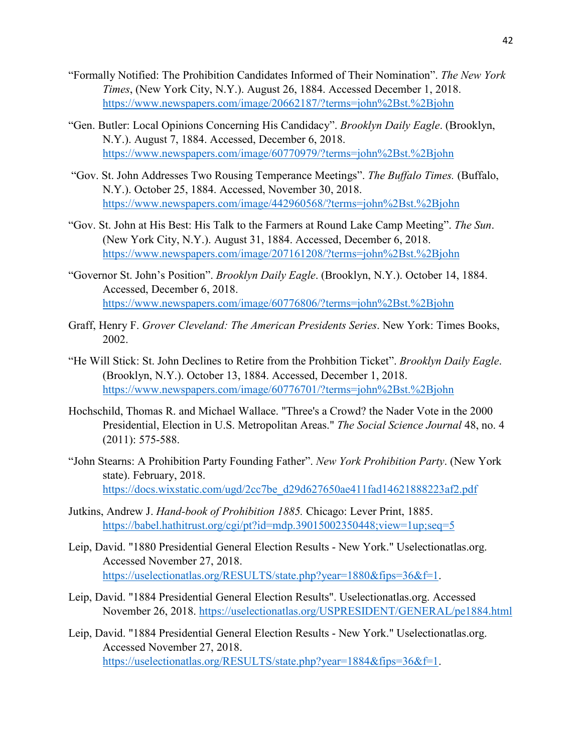- "Formally Notified: The Prohibition Candidates Informed of Their Nomination". *The New York Times*, (New York City, N.Y.). August 26, 1884. Accessed December 1, 2018. <https://www.newspapers.com/image/20662187/?terms=john%2Bst.%2Bjohn>
- "Gen. Butler: Local Opinions Concerning His Candidacy". *Brooklyn Daily Eagle*. (Brooklyn, N.Y.). August 7, 1884. Accessed, December 6, 2018. <https://www.newspapers.com/image/60770979/?terms=john%2Bst.%2Bjohn>
- "Gov. St. John Addresses Two Rousing Temperance Meetings". *The Buffalo Times.* (Buffalo, N.Y.). October 25, 1884. Accessed, November 30, 2018. <https://www.newspapers.com/image/442960568/?terms=john%2Bst.%2Bjohn>
- "Gov. St. John at His Best: His Talk to the Farmers at Round Lake Camp Meeting". *The Sun*. (New York City, N.Y.). August 31, 1884. Accessed, December 6, 2018. <https://www.newspapers.com/image/207161208/?terms=john%2Bst.%2Bjohn>
- "Governor St. John's Position". *Brooklyn Daily Eagle*. (Brooklyn, N.Y.). October 14, 1884. Accessed, December 6, 2018. <https://www.newspapers.com/image/60776806/?terms=john%2Bst.%2Bjohn>
- Graff, Henry F. *Grover Cleveland: The American Presidents Series*. New York: Times Books, 2002.
- "He Will Stick: St. John Declines to Retire from the Prohbition Ticket". *Brooklyn Daily Eagle*. (Brooklyn, N.Y.). October 13, 1884. Accessed, December 1, 2018. <https://www.newspapers.com/image/60776701/?terms=john%2Bst.%2Bjohn>
- Hochschild, Thomas R. and Michael Wallace. "Three's a Crowd? the Nader Vote in the 2000 Presidential, Election in U.S. Metropolitan Areas." *The Social Science Journal* 48, no. 4 (2011): 575-588.
- "John Stearns: A Prohibition Party Founding Father". *New York Prohibition Party*. (New York state). February, 2018. [https://docs.wixstatic.com/ugd/2cc7be\\_d29d627650ae411fad14621888223af2.pdf](https://docs.wixstatic.com/ugd/2cc7be_d29d627650ae411fad14621888223af2.pdf)
- Jutkins, Andrew J. *Hand-book of Prohibition 1885.* Chicago: Lever Print, 1885. <https://babel.hathitrust.org/cgi/pt?id=mdp.39015002350448;view=1up;seq=5>
- Leip, David. "1880 Presidential General Election Results New York." Uselectionatlas.org. Accessed November 27, 2018. [https://uselectionatlas.org/RESULTS/state.php?year=1880&fips=36&f=1.](https://uselectionatlas.org/RESULTS/state.php?year=1880&fips=36&f=1)
- Leip, David. "1884 Presidential General Election Results". Uselectionatlas.org. Accessed November 26, 2018.<https://uselectionatlas.org/USPRESIDENT/GENERAL/pe1884.html>
- Leip, David. "1884 Presidential General Election Results New York." Uselectionatlas.org. Accessed November 27, 2018. [https://uselectionatlas.org/RESULTS/state.php?year=1884&fips=36&f=1.](https://uselectionatlas.org/RESULTS/state.php?year=1884&fips=36&f=1)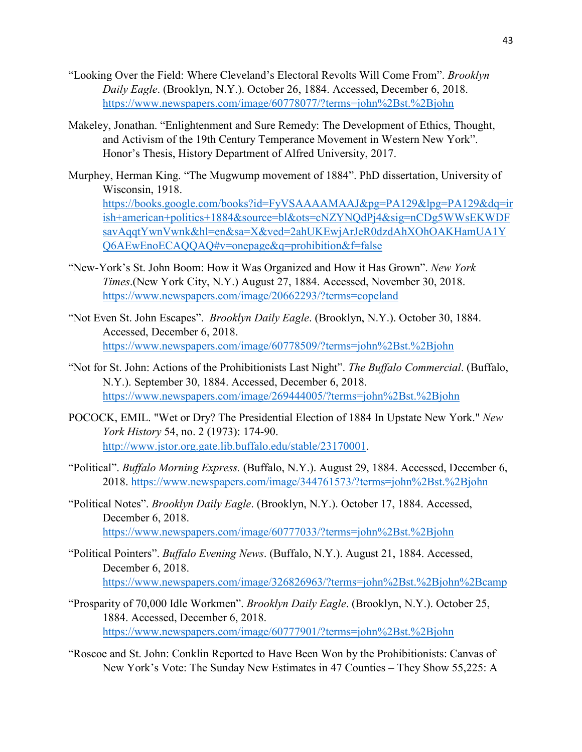- "Looking Over the Field: Where Cleveland's Electoral Revolts Will Come From". *Brooklyn Daily Eagle*. (Brooklyn, N.Y.). October 26, 1884. Accessed, December 6, 2018. <https://www.newspapers.com/image/60778077/?terms=john%2Bst.%2Bjohn>
- Makeley, Jonathan. "Enlightenment and Sure Remedy: The Development of Ethics, Thought, and Activism of the 19th Century Temperance Movement in Western New York". Honor's Thesis, History Department of Alfred University, 2017.
- Murphey, Herman King. "The Mugwump movement of 1884". PhD dissertation, University of Wisconsin, 1918. [https://books.google.com/books?id=FyVSAAAAMAAJ&pg=PA129&lpg=PA129&dq=ir](https://books.google.com/books?id=FyVSAAAAMAAJ&pg=PA129&lpg=PA129&dq=irish+american+politics+1884&source=bl&ots=cNZYNQdPj4&sig=nCDg5WWsEKWDFsavAqqtYwnVwnk&hl=en&sa=X&ved=2ahUKEwjArJeR0dzdAhXOhOAKHamUA1YQ6AEwEnoECAQQAQ#v=onepage&q=prohibition&f=false) [ish+american+politics+1884&source=bl&ots=cNZYNQdPj4&sig=nCDg5WWsEKWDF](https://books.google.com/books?id=FyVSAAAAMAAJ&pg=PA129&lpg=PA129&dq=irish+american+politics+1884&source=bl&ots=cNZYNQdPj4&sig=nCDg5WWsEKWDFsavAqqtYwnVwnk&hl=en&sa=X&ved=2ahUKEwjArJeR0dzdAhXOhOAKHamUA1YQ6AEwEnoECAQQAQ#v=onepage&q=prohibition&f=false) [savAqqtYwnVwnk&hl=en&sa=X&ved=2ahUKEwjArJeR0dzdAhXOhOAKHamUA1Y](https://books.google.com/books?id=FyVSAAAAMAAJ&pg=PA129&lpg=PA129&dq=irish+american+politics+1884&source=bl&ots=cNZYNQdPj4&sig=nCDg5WWsEKWDFsavAqqtYwnVwnk&hl=en&sa=X&ved=2ahUKEwjArJeR0dzdAhXOhOAKHamUA1YQ6AEwEnoECAQQAQ#v=onepage&q=prohibition&f=false) [Q6AEwEnoECAQQAQ#v=onepage&q=prohibition&f=false](https://books.google.com/books?id=FyVSAAAAMAAJ&pg=PA129&lpg=PA129&dq=irish+american+politics+1884&source=bl&ots=cNZYNQdPj4&sig=nCDg5WWsEKWDFsavAqqtYwnVwnk&hl=en&sa=X&ved=2ahUKEwjArJeR0dzdAhXOhOAKHamUA1YQ6AEwEnoECAQQAQ#v=onepage&q=prohibition&f=false)
- "New-York's St. John Boom: How it Was Organized and How it Has Grown". *New York Times*.(New York City, N.Y.) August 27, 1884. Accessed, November 30, 2018. <https://www.newspapers.com/image/20662293/?terms=copeland>
- "Not Even St. John Escapes". *Brooklyn Daily Eagle*. (Brooklyn, N.Y.). October 30, 1884. Accessed, December 6, 2018. <https://www.newspapers.com/image/60778509/?terms=john%2Bst.%2Bjohn>
- "Not for St. John: Actions of the Prohibitionists Last Night". *The Buffalo Commercial*. (Buffalo, N.Y.). September 30, 1884. Accessed, December 6, 2018. <https://www.newspapers.com/image/269444005/?terms=john%2Bst.%2Bjohn>
- POCOCK, EMIL. "Wet or Dry? The Presidential Election of 1884 In Upstate New York." *New York History* 54, no. 2 (1973): 174-90. [http://www.jstor.org.gate.lib.buffalo.edu/stable/23170001.](http://www.jstor.org.gate.lib.buffalo.edu/stable/23170001)
- "Political". *Buffalo Morning Express.* (Buffalo, N.Y.). August 29, 1884. Accessed, December 6, 2018.<https://www.newspapers.com/image/344761573/?terms=john%2Bst.%2Bjohn>
- "Political Notes". *Brooklyn Daily Eagle*. (Brooklyn, N.Y.). October 17, 1884. Accessed, December 6, 2018. <https://www.newspapers.com/image/60777033/?terms=john%2Bst.%2Bjohn>
- "Political Pointers". *Buffalo Evening News*. (Buffalo, N.Y.). August 21, 1884. Accessed, December 6, 2018. <https://www.newspapers.com/image/326826963/?terms=john%2Bst.%2Bjohn%2Bcamp>
- "Prosparity of 70,000 Idle Workmen". *Brooklyn Daily Eagle*. (Brooklyn, N.Y.). October 25, 1884. Accessed, December 6, 2018. <https://www.newspapers.com/image/60777901/?terms=john%2Bst.%2Bjohn>
- "Roscoe and St. John: Conklin Reported to Have Been Won by the Prohibitionists: Canvas of New York's Vote: The Sunday New Estimates in 47 Counties – They Show 55,225: A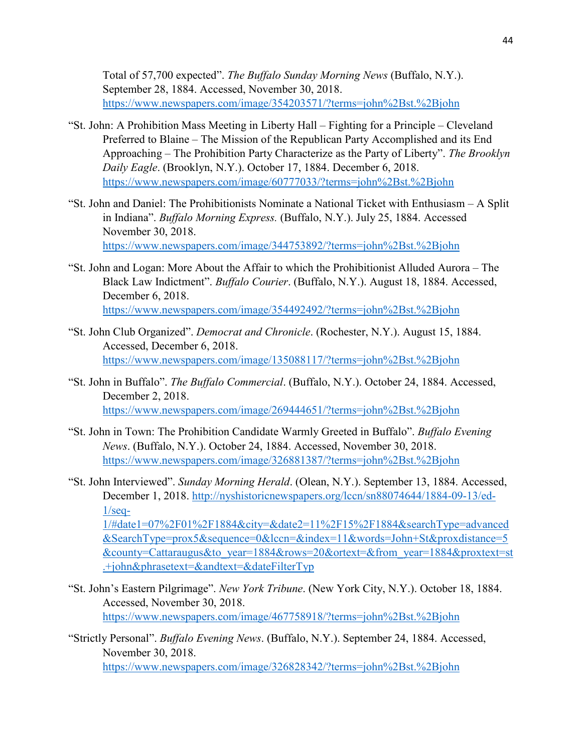Total of 57,700 expected". *The Buffalo Sunday Morning News* (Buffalo, N.Y.). September 28, 1884. Accessed, November 30, 2018. <https://www.newspapers.com/image/354203571/?terms=john%2Bst.%2Bjohn>

- "St. John: A Prohibition Mass Meeting in Liberty Hall Fighting for a Principle Cleveland Preferred to Blaine – The Mission of the Republican Party Accomplished and its End Approaching – The Prohibition Party Characterize as the Party of Liberty". *The Brooklyn Daily Eagle*. (Brooklyn, N.Y.). October 17, 1884. December 6, 2018. <https://www.newspapers.com/image/60777033/?terms=john%2Bst.%2Bjohn>
- "St. John and Daniel: The Prohibitionists Nominate a National Ticket with Enthusiasm A Split in Indiana". *Buffalo Morning Express.* (Buffalo, N.Y.). July 25, 1884. Accessed November 30, 2018. <https://www.newspapers.com/image/344753892/?terms=john%2Bst.%2Bjohn>
- "St. John and Logan: More About the Affair to which the Prohibitionist Alluded Aurora The Black Law Indictment". *Buffalo Courier*. (Buffalo, N.Y.). August 18, 1884. Accessed, December 6, 2018. <https://www.newspapers.com/image/354492492/?terms=john%2Bst.%2Bjohn>
- "St. John Club Organized". *Democrat and Chronicle*. (Rochester, N.Y.). August 15, 1884. Accessed, December 6, 2018. <https://www.newspapers.com/image/135088117/?terms=john%2Bst.%2Bjohn>
- "St. John in Buffalo". *The Buffalo Commercial*. (Buffalo, N.Y.). October 24, 1884. Accessed, December 2, 2018. <https://www.newspapers.com/image/269444651/?terms=john%2Bst.%2Bjohn>
- "St. John in Town: The Prohibition Candidate Warmly Greeted in Buffalo". *Buffalo Evening News*. (Buffalo, N.Y.). October 24, 1884. Accessed, November 30, 2018. <https://www.newspapers.com/image/326881387/?terms=john%2Bst.%2Bjohn>
- "St. John Interviewed". *Sunday Morning Herald*. (Olean, N.Y.). September 13, 1884. Accessed, December 1, 2018. [http://nyshistoricnewspapers.org/lccn/sn88074644/1884-09-13/ed-](http://nyshistoricnewspapers.org/lccn/sn88074644/1884-09-13/ed-1/seq-1/#date1=07%2F01%2F1884&city=&date2=11%2F15%2F1884&searchType=advanced&SearchType=prox5&sequence=0&lccn=&index=11&words=John+St&proxdistance=5&county=Cattaraugus&to_year=1884&rows=20&ortext=&from_year=1884&proxtext=st.+john&phrasetext=&andtext=&dateFilterTyp) $1/\text{seq}$

[1/#date1=07%2F01%2F1884&city=&date2=11%2F15%2F1884&searchType=advanced](http://nyshistoricnewspapers.org/lccn/sn88074644/1884-09-13/ed-1/seq-1/#date1=07%2F01%2F1884&city=&date2=11%2F15%2F1884&searchType=advanced&SearchType=prox5&sequence=0&lccn=&index=11&words=John+St&proxdistance=5&county=Cattaraugus&to_year=1884&rows=20&ortext=&from_year=1884&proxtext=st.+john&phrasetext=&andtext=&dateFilterTyp) [&SearchType=prox5&sequence=0&lccn=&index=11&words=John+St&proxdistance=5](http://nyshistoricnewspapers.org/lccn/sn88074644/1884-09-13/ed-1/seq-1/#date1=07%2F01%2F1884&city=&date2=11%2F15%2F1884&searchType=advanced&SearchType=prox5&sequence=0&lccn=&index=11&words=John+St&proxdistance=5&county=Cattaraugus&to_year=1884&rows=20&ortext=&from_year=1884&proxtext=st.+john&phrasetext=&andtext=&dateFilterTyp) [&county=Cattaraugus&to\\_year=1884&rows=20&ortext=&from\\_year=1884&proxtext=st](http://nyshistoricnewspapers.org/lccn/sn88074644/1884-09-13/ed-1/seq-1/#date1=07%2F01%2F1884&city=&date2=11%2F15%2F1884&searchType=advanced&SearchType=prox5&sequence=0&lccn=&index=11&words=John+St&proxdistance=5&county=Cattaraugus&to_year=1884&rows=20&ortext=&from_year=1884&proxtext=st.+john&phrasetext=&andtext=&dateFilterTyp) [.+john&phrasetext=&andtext=&dateFilterTyp](http://nyshistoricnewspapers.org/lccn/sn88074644/1884-09-13/ed-1/seq-1/#date1=07%2F01%2F1884&city=&date2=11%2F15%2F1884&searchType=advanced&SearchType=prox5&sequence=0&lccn=&index=11&words=John+St&proxdistance=5&county=Cattaraugus&to_year=1884&rows=20&ortext=&from_year=1884&proxtext=st.+john&phrasetext=&andtext=&dateFilterTyp) 

- "St. John's Eastern Pilgrimage". *New York Tribune*. (New York City, N.Y.). October 18, 1884. Accessed, November 30, 2018. <https://www.newspapers.com/image/467758918/?terms=john%2Bst.%2Bjohn>
- "Strictly Personal". *Buffalo Evening News*. (Buffalo, N.Y.). September 24, 1884. Accessed, November 30, 2018. <https://www.newspapers.com/image/326828342/?terms=john%2Bst.%2Bjohn>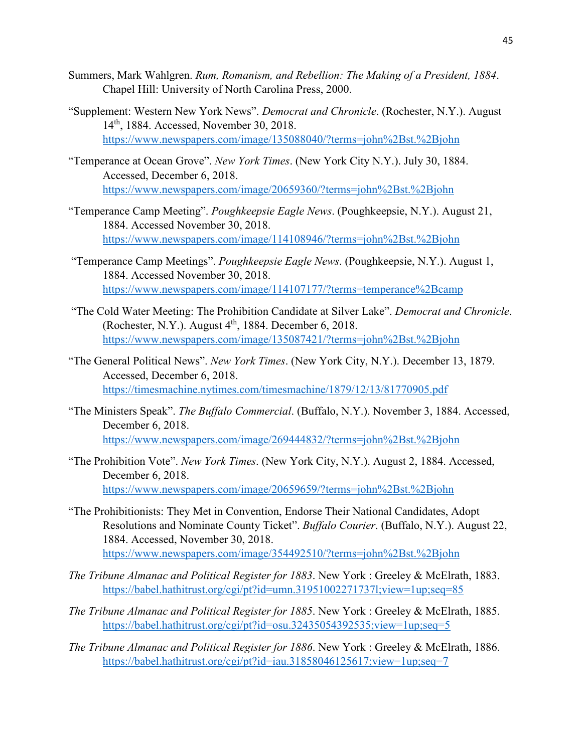- Summers, Mark Wahlgren. *Rum, Romanism, and Rebellion: The Making of a President, 1884*. Chapel Hill: University of North Carolina Press, 2000.
- "Supplement: Western New York News". *Democrat and Chronicle*. (Rochester, N.Y.). August 14th, 1884. Accessed, November 30, 2018. <https://www.newspapers.com/image/135088040/?terms=john%2Bst.%2Bjohn>
- "Temperance at Ocean Grove". *New York Times*. (New York City N.Y.). July 30, 1884. Accessed, December 6, 2018. <https://www.newspapers.com/image/20659360/?terms=john%2Bst.%2Bjohn>
- "Temperance Camp Meeting". *Poughkeepsie Eagle News*. (Poughkeepsie, N.Y.). August 21, 1884. Accessed November 30, 2018. <https://www.newspapers.com/image/114108946/?terms=john%2Bst.%2Bjohn>
- "Temperance Camp Meetings". *Poughkeepsie Eagle News*. (Poughkeepsie, N.Y.). August 1, 1884. Accessed November 30, 2018. <https://www.newspapers.com/image/114107177/?terms=temperance%2Bcamp>
- "The Cold Water Meeting: The Prohibition Candidate at Silver Lake". *Democrat and Chronicle*. (Rochester, N.Y.). August  $4<sup>th</sup>$ , 1884. December 6, 2018. <https://www.newspapers.com/image/135087421/?terms=john%2Bst.%2Bjohn>
- "The General Political News". *New York Times*. (New York City, N.Y.). December 13, 1879. Accessed, December 6, 2018. <https://timesmachine.nytimes.com/timesmachine/1879/12/13/81770905.pdf>
- "The Ministers Speak". *The Buffalo Commercial*. (Buffalo, N.Y.). November 3, 1884. Accessed, December 6, 2018. <https://www.newspapers.com/image/269444832/?terms=john%2Bst.%2Bjohn>
- "The Prohibition Vote". *New York Times*. (New York City, N.Y.). August 2, 1884. Accessed, December 6, 2018. <https://www.newspapers.com/image/20659659/?terms=john%2Bst.%2Bjohn>
- "The Prohibitionists: They Met in Convention, Endorse Their National Candidates, Adopt Resolutions and Nominate County Ticket". *Buffalo Courier*. (Buffalo, N.Y.). August 22, 1884. Accessed, November 30, 2018. <https://www.newspapers.com/image/354492510/?terms=john%2Bst.%2Bjohn>
- *The Tribune Almanac and Political Register for 1883*. New York : Greeley & McElrath, 1883. <https://babel.hathitrust.org/cgi/pt?id=umn.31951002271737l;view=1up;seq=85>
- *The Tribune Almanac and Political Register for 1885*. New York : Greeley & McElrath, 1885. <https://babel.hathitrust.org/cgi/pt?id=osu.32435054392535;view=1up;seq=5>
- *The Tribune Almanac and Political Register for 1886*. New York : Greeley & McElrath, 1886. <https://babel.hathitrust.org/cgi/pt?id=iau.31858046125617;view=1up;seq=7>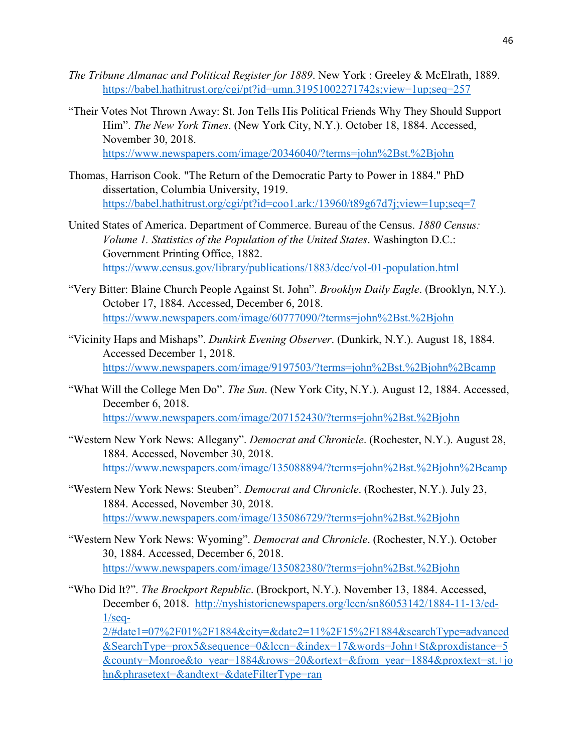- *The Tribune Almanac and Political Register for 1889*. New York : Greeley & McElrath, 1889. <https://babel.hathitrust.org/cgi/pt?id=umn.31951002271742s;view=1up;seq=257>
- "Their Votes Not Thrown Away: St. Jon Tells His Political Friends Why They Should Support Him". *The New York Times*. (New York City, N.Y.). October 18, 1884. Accessed, November 30, 2018. <https://www.newspapers.com/image/20346040/?terms=john%2Bst.%2Bjohn>
- Thomas, Harrison Cook. "The Return of the Democratic Party to Power in 1884." PhD dissertation, Columbia University, 1919. <https://babel.hathitrust.org/cgi/pt?id=coo1.ark:/13960/t89g67d7j;view=1up;seq=7>
- United States of America. Department of Commerce. Bureau of the Census. *1880 Census: Volume 1. Statistics of the Population of the United States*. Washington D.C.: Government Printing Office, 1882. <https://www.census.gov/library/publications/1883/dec/vol-01-population.html>
- "Very Bitter: Blaine Church People Against St. John". *Brooklyn Daily Eagle*. (Brooklyn, N.Y.). October 17, 1884. Accessed, December 6, 2018. <https://www.newspapers.com/image/60777090/?terms=john%2Bst.%2Bjohn>
- "Vicinity Haps and Mishaps". *Dunkirk Evening Observer*. (Dunkirk, N.Y.). August 18, 1884. Accessed December 1, 2018. <https://www.newspapers.com/image/9197503/?terms=john%2Bst.%2Bjohn%2Bcamp>
- "What Will the College Men Do". *The Sun*. (New York City, N.Y.). August 12, 1884. Accessed, December 6, 2018. <https://www.newspapers.com/image/207152430/?terms=john%2Bst.%2Bjohn>
- "Western New York News: Allegany". *Democrat and Chronicle*. (Rochester, N.Y.). August 28, 1884. Accessed, November 30, 2018. <https://www.newspapers.com/image/135088894/?terms=john%2Bst.%2Bjohn%2Bcamp>
- "Western New York News: Steuben". *Democrat and Chronicle*. (Rochester, N.Y.). July 23, 1884. Accessed, November 30, 2018. <https://www.newspapers.com/image/135086729/?terms=john%2Bst.%2Bjohn>
- "Western New York News: Wyoming". *Democrat and Chronicle*. (Rochester, N.Y.). October 30, 1884. Accessed, December 6, 2018. <https://www.newspapers.com/image/135082380/?terms=john%2Bst.%2Bjohn>
- "Who Did It?". *The Brockport Republic*. (Brockport, N.Y.). November 13, 1884. Accessed, December 6, 2018. [http://nyshistoricnewspapers.org/lccn/sn86053142/1884-11-13/ed-](http://nyshistoricnewspapers.org/lccn/sn86053142/1884-11-13/ed-1/seq-2/#date1=07%2F01%2F1884&city=&date2=11%2F15%2F1884&searchType=advanced&SearchType=prox5&sequence=0&lccn=&index=17&words=John+St&proxdistance=5&county=Monroe&to_year=1884&rows=20&ortext=&from_year=1884&proxtext=st.+john&phrasetext=&andtext=&dateFilterType=ran) $1/\text{seq}$

[2/#date1=07%2F01%2F1884&city=&date2=11%2F15%2F1884&searchType=advanced](http://nyshistoricnewspapers.org/lccn/sn86053142/1884-11-13/ed-1/seq-2/#date1=07%2F01%2F1884&city=&date2=11%2F15%2F1884&searchType=advanced&SearchType=prox5&sequence=0&lccn=&index=17&words=John+St&proxdistance=5&county=Monroe&to_year=1884&rows=20&ortext=&from_year=1884&proxtext=st.+john&phrasetext=&andtext=&dateFilterType=ran) [&SearchType=prox5&sequence=0&lccn=&index=17&words=John+St&proxdistance=5](http://nyshistoricnewspapers.org/lccn/sn86053142/1884-11-13/ed-1/seq-2/#date1=07%2F01%2F1884&city=&date2=11%2F15%2F1884&searchType=advanced&SearchType=prox5&sequence=0&lccn=&index=17&words=John+St&proxdistance=5&county=Monroe&to_year=1884&rows=20&ortext=&from_year=1884&proxtext=st.+john&phrasetext=&andtext=&dateFilterType=ran) [&county=Monroe&to\\_year=1884&rows=20&ortext=&from\\_year=1884&proxtext=st.+jo](http://nyshistoricnewspapers.org/lccn/sn86053142/1884-11-13/ed-1/seq-2/#date1=07%2F01%2F1884&city=&date2=11%2F15%2F1884&searchType=advanced&SearchType=prox5&sequence=0&lccn=&index=17&words=John+St&proxdistance=5&county=Monroe&to_year=1884&rows=20&ortext=&from_year=1884&proxtext=st.+john&phrasetext=&andtext=&dateFilterType=ran) [hn&phrasetext=&andtext=&dateFilterType=ran](http://nyshistoricnewspapers.org/lccn/sn86053142/1884-11-13/ed-1/seq-2/#date1=07%2F01%2F1884&city=&date2=11%2F15%2F1884&searchType=advanced&SearchType=prox5&sequence=0&lccn=&index=17&words=John+St&proxdistance=5&county=Monroe&to_year=1884&rows=20&ortext=&from_year=1884&proxtext=st.+john&phrasetext=&andtext=&dateFilterType=ran)